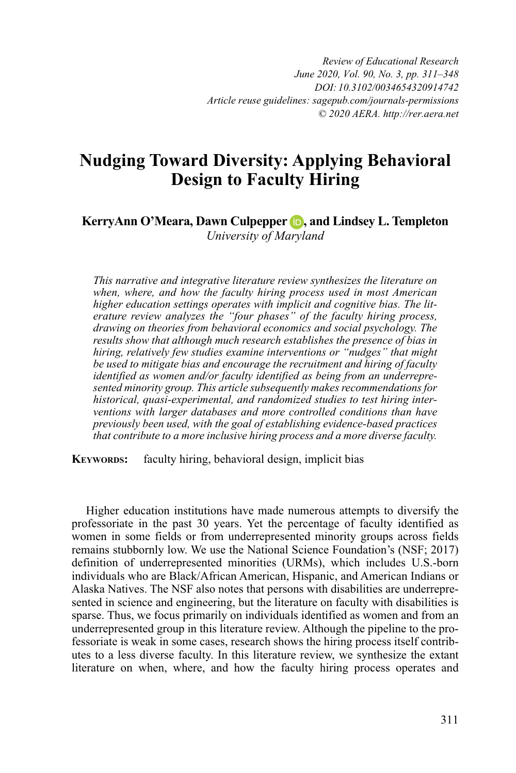*Review of Educational Research June 2020, Vol. 90, No. 3, pp. 311–348 DOI:https://doi.org/10.3102/0034654320914742 Article reuse guidelines: [sagepub.com/journals-permissions](https://us.sagepub.com/en-us/journals-permissions) © 2020 AERA. http://rer.aera.net*

# **Nudging Toward Diversity: Applying Behavioral Design to Faculty Hiring**

**KerryAnn O'Meara, Dawn Culpepper , and Lindsey L. Templeton** *University of Maryland*

*This narrative and integrative literature review synthesizes the literature on when, where, and how the faculty hiring process used in most American higher education settings operates with implicit and cognitive bias. The literature review analyzes the "four phases" of the faculty hiring process, drawing on theories from behavioral economics and social psychology. The results show that although much research establishes the presence of bias in hiring, relatively few studies examine interventions or "nudges" that might be used to mitigate bias and encourage the recruitment and hiring of faculty identified as women and/or faculty identified as being from an underrepresented minority group. This article subsequently makes recommendations for historical, quasi-experimental, and randomized studies to test hiring interventions with larger databases and more controlled conditions than have previously been used, with the goal of establishing evidence-based practices that contribute to a more inclusive hiring process and a more diverse faculty.*

**KEYWORDS:** faculty hiring, behavioral design, implicit bias

Higher education institutions have made numerous attempts to diversify the professoriate in the past 30 years. Yet the percentage of faculty identified as women in some fields or from underrepresented minority groups across fields remains stubbornly low. We use the National Science Foundation's (NSF; 2017) definition of underrepresented minorities (URMs), which includes U.S.-born individuals who are Black/African American, Hispanic, and American Indians or Alaska Natives. The NSF also notes that persons with disabilities are underrepresented in science and engineering, but the literature on faculty with disabilities is sparse. Thus, we focus primarily on individuals identified as women and from an underrepresented group in this literature review. Although the pipeline to the professoriate is weak in some cases, research shows the hiring process itself contributes to a less diverse faculty. In this literature review, we synthesize the extant literature on when, where, and how the faculty hiring process operates and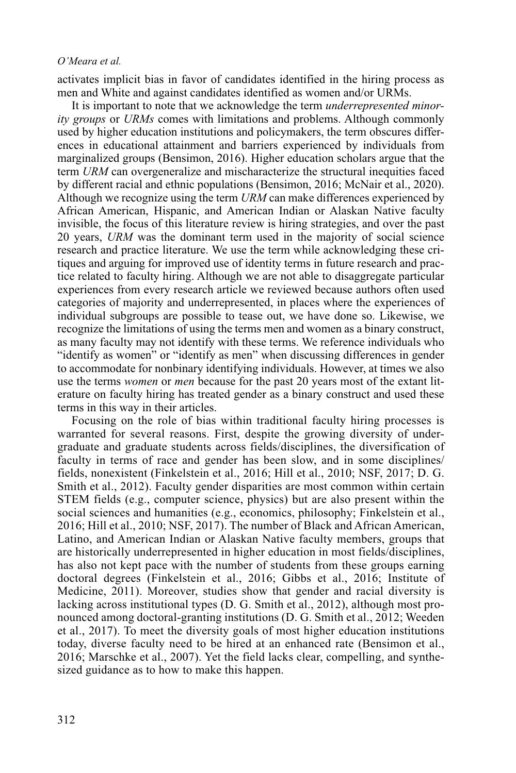activates implicit bias in favor of candidates identified in the hiring process as men and White and against candidates identified as women and/or URMs.

It is important to note that we acknowledge the term *underrepresented minority groups* or *URMs* comes with limitations and problems. Although commonly used by higher education institutions and policymakers, the term obscures differences in educational attainment and barriers experienced by individuals from marginalized groups (Bensimon, 2016). Higher education scholars argue that the term *URM* can overgeneralize and mischaracterize the structural inequities faced by different racial and ethnic populations (Bensimon, 2016; McNair et al., 2020). Although we recognize using the term *URM* can make differences experienced by African American, Hispanic, and American Indian or Alaskan Native faculty invisible, the focus of this literature review is hiring strategies, and over the past 20 years, *URM* was the dominant term used in the majority of social science research and practice literature. We use the term while acknowledging these critiques and arguing for improved use of identity terms in future research and practice related to faculty hiring. Although we are not able to disaggregate particular experiences from every research article we reviewed because authors often used categories of majority and underrepresented, in places where the experiences of individual subgroups are possible to tease out, we have done so. Likewise, we recognize the limitations of using the terms men and women as a binary construct, as many faculty may not identify with these terms. We reference individuals who "identify as women" or "identify as men" when discussing differences in gender to accommodate for nonbinary identifying individuals. However, at times we also use the terms *women* or *men* because for the past 20 years most of the extant literature on faculty hiring has treated gender as a binary construct and used these terms in this way in their articles.

Focusing on the role of bias within traditional faculty hiring processes is warranted for several reasons. First, despite the growing diversity of undergraduate and graduate students across fields/disciplines, the diversification of faculty in terms of race and gender has been slow, and in some disciplines/ fields, nonexistent (Finkelstein et al., 2016; Hill et al., 2010; NSF, 2017; D. G. Smith et al., 2012). Faculty gender disparities are most common within certain STEM fields (e.g., computer science, physics) but are also present within the social sciences and humanities (e.g., economics, philosophy; Finkelstein et al., 2016; Hill et al., 2010; NSF, 2017). The number of Black and African American, Latino, and American Indian or Alaskan Native faculty members, groups that are historically underrepresented in higher education in most fields/disciplines, has also not kept pace with the number of students from these groups earning doctoral degrees (Finkelstein et al., 2016; Gibbs et al., 2016; Institute of Medicine, 2011). Moreover, studies show that gender and racial diversity is lacking across institutional types (D. G. Smith et al., 2012), although most pronounced among doctoral-granting institutions (D. G. Smith et al., 2012; Weeden et al., 2017). To meet the diversity goals of most higher education institutions today, diverse faculty need to be hired at an enhanced rate (Bensimon et al., 2016; Marschke et al., 2007). Yet the field lacks clear, compelling, and synthesized guidance as to how to make this happen.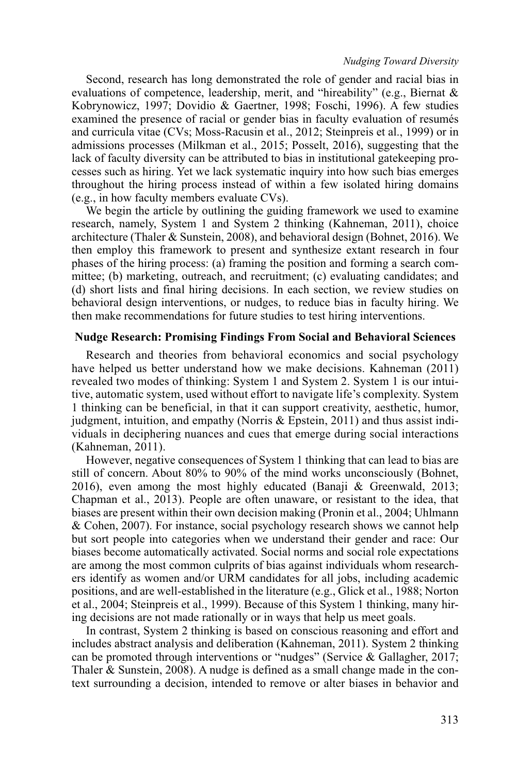Second, research has long demonstrated the role of gender and racial bias in evaluations of competence, leadership, merit, and "hireability" (e.g., Biernat & Kobrynowicz, 1997; Dovidio & Gaertner, 1998; Foschi, 1996). A few studies examined the presence of racial or gender bias in faculty evaluation of resumés and curricula vitae (CVs; Moss-Racusin et al., 2012; Steinpreis et al., 1999) or in admissions processes (Milkman et al., 2015; Posselt, 2016), suggesting that the lack of faculty diversity can be attributed to bias in institutional gatekeeping processes such as hiring. Yet we lack systematic inquiry into how such bias emerges throughout the hiring process instead of within a few isolated hiring domains (e.g., in how faculty members evaluate CVs).

We begin the article by outlining the guiding framework we used to examine research, namely, System 1 and System 2 thinking (Kahneman, 2011), choice architecture (Thaler & Sunstein, 2008), and behavioral design (Bohnet, 2016). We then employ this framework to present and synthesize extant research in four phases of the hiring process: (a) framing the position and forming a search committee; (b) marketing, outreach, and recruitment; (c) evaluating candidates; and (d) short lists and final hiring decisions. In each section, we review studies on behavioral design interventions, or nudges, to reduce bias in faculty hiring. We then make recommendations for future studies to test hiring interventions.

# **Nudge Research: Promising Findings From Social and Behavioral Sciences**

Research and theories from behavioral economics and social psychology have helped us better understand how we make decisions. Kahneman (2011) revealed two modes of thinking: System 1 and System 2. System 1 is our intuitive, automatic system, used without effort to navigate life's complexity. System 1 thinking can be beneficial, in that it can support creativity, aesthetic, humor, judgment, intuition, and empathy (Norris & Epstein, 2011) and thus assist individuals in deciphering nuances and cues that emerge during social interactions (Kahneman, 2011).

However, negative consequences of System 1 thinking that can lead to bias are still of concern. About 80% to 90% of the mind works unconsciously (Bohnet, 2016), even among the most highly educated (Banaji & Greenwald, 2013; Chapman et al., 2013). People are often unaware, or resistant to the idea, that biases are present within their own decision making (Pronin et al., 2004; Uhlmann & Cohen, 2007). For instance, social psychology research shows we cannot help but sort people into categories when we understand their gender and race: Our biases become automatically activated. Social norms and social role expectations are among the most common culprits of bias against individuals whom researchers identify as women and/or URM candidates for all jobs, including academic positions, and are well-established in the literature (e.g., Glick et al., 1988; Norton et al., 2004; Steinpreis et al., 1999). Because of this System 1 thinking, many hiring decisions are not made rationally or in ways that help us meet goals.

In contrast, System 2 thinking is based on conscious reasoning and effort and includes abstract analysis and deliberation (Kahneman, 2011). System 2 thinking can be promoted through interventions or "nudges" (Service & Gallagher, 2017; Thaler & Sunstein, 2008). A nudge is defined as a small change made in the context surrounding a decision, intended to remove or alter biases in behavior and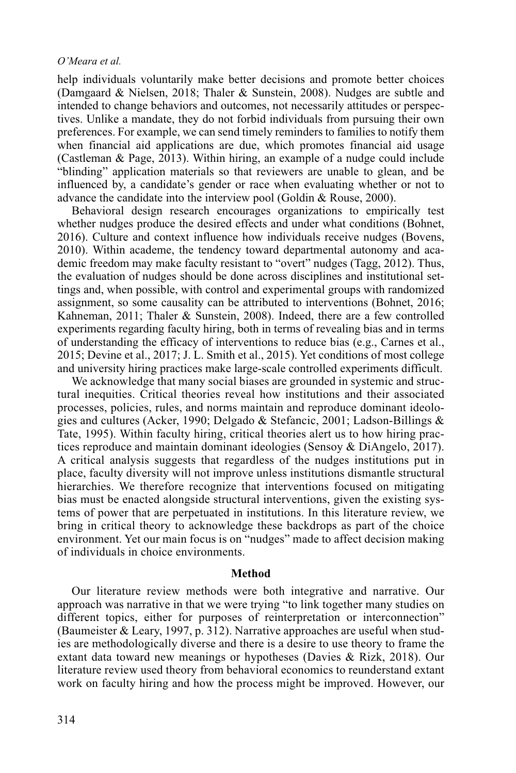help individuals voluntarily make better decisions and promote better choices (Damgaard & Nielsen, 2018; Thaler & Sunstein, 2008). Nudges are subtle and intended to change behaviors and outcomes, not necessarily attitudes or perspectives. Unlike a mandate, they do not forbid individuals from pursuing their own preferences. For example, we can send timely reminders to families to notify them when financial aid applications are due, which promotes financial aid usage (Castleman & Page, 2013). Within hiring, an example of a nudge could include "blinding" application materials so that reviewers are unable to glean, and be influenced by, a candidate's gender or race when evaluating whether or not to advance the candidate into the interview pool (Goldin & Rouse, 2000).

Behavioral design research encourages organizations to empirically test whether nudges produce the desired effects and under what conditions (Bohnet, 2016). Culture and context influence how individuals receive nudges (Bovens, 2010). Within academe, the tendency toward departmental autonomy and academic freedom may make faculty resistant to "overt" nudges (Tagg, 2012). Thus, the evaluation of nudges should be done across disciplines and institutional settings and, when possible, with control and experimental groups with randomized assignment, so some causality can be attributed to interventions (Bohnet, 2016; Kahneman, 2011; Thaler & Sunstein, 2008). Indeed, there are a few controlled experiments regarding faculty hiring, both in terms of revealing bias and in terms of understanding the efficacy of interventions to reduce bias (e.g., Carnes et al., 2015; Devine et al., 2017; J. L. Smith et al., 2015). Yet conditions of most college and university hiring practices make large-scale controlled experiments difficult.

We acknowledge that many social biases are grounded in systemic and structural inequities. Critical theories reveal how institutions and their associated processes, policies, rules, and norms maintain and reproduce dominant ideologies and cultures (Acker, 1990; Delgado & Stefancic, 2001; Ladson-Billings & Tate, 1995). Within faculty hiring, critical theories alert us to how hiring practices reproduce and maintain dominant ideologies (Sensoy & DiAngelo, 2017). A critical analysis suggests that regardless of the nudges institutions put in place, faculty diversity will not improve unless institutions dismantle structural hierarchies. We therefore recognize that interventions focused on mitigating bias must be enacted alongside structural interventions, given the existing systems of power that are perpetuated in institutions. In this literature review, we bring in critical theory to acknowledge these backdrops as part of the choice environment. Yet our main focus is on "nudges" made to affect decision making of individuals in choice environments.

#### **Method**

Our literature review methods were both integrative and narrative. Our approach was narrative in that we were trying "to link together many studies on different topics, either for purposes of reinterpretation or interconnection" (Baumeister & Leary, 1997, p. 312). Narrative approaches are useful when studies are methodologically diverse and there is a desire to use theory to frame the extant data toward new meanings or hypotheses (Davies & Rizk, 2018). Our literature review used theory from behavioral economics to reunderstand extant work on faculty hiring and how the process might be improved. However, our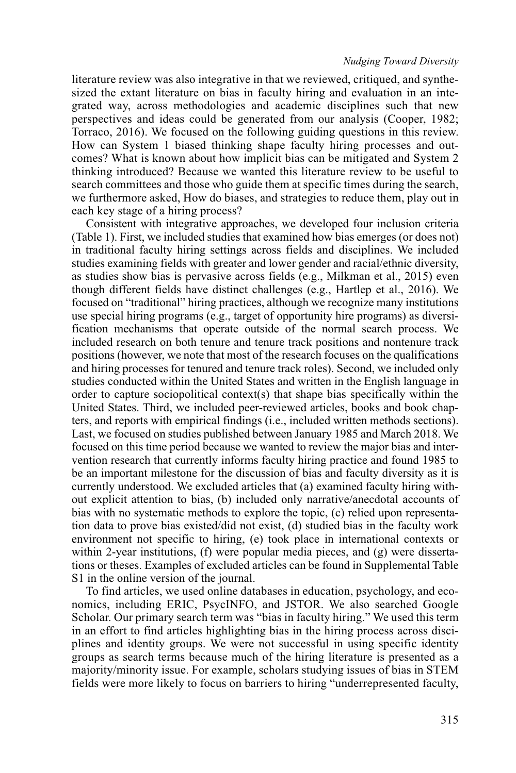literature review was also integrative in that we reviewed, critiqued, and synthesized the extant literature on bias in faculty hiring and evaluation in an integrated way, across methodologies and academic disciplines such that new perspectives and ideas could be generated from our analysis (Cooper, 1982; Torraco, 2016). We focused on the following guiding questions in this review. How can System 1 biased thinking shape faculty hiring processes and outcomes? What is known about how implicit bias can be mitigated and System 2 thinking introduced? Because we wanted this literature review to be useful to search committees and those who guide them at specific times during the search, we furthermore asked, How do biases, and strategies to reduce them, play out in each key stage of a hiring process?

Consistent with integrative approaches, we developed four inclusion criteria (Table 1). First, we included studies that examined how bias emerges (or does not) in traditional faculty hiring settings across fields and disciplines. We included studies examining fields with greater and lower gender and racial/ethnic diversity, as studies show bias is pervasive across fields (e.g., Milkman et al., 2015) even though different fields have distinct challenges (e.g., Hartlep et al., 2016). We focused on "traditional" hiring practices, although we recognize many institutions use special hiring programs (e.g., target of opportunity hire programs) as diversification mechanisms that operate outside of the normal search process. We included research on both tenure and tenure track positions and nontenure track positions (however, we note that most of the research focuses on the qualifications and hiring processes for tenured and tenure track roles). Second, we included only studies conducted within the United States and written in the English language in order to capture sociopolitical context(s) that shape bias specifically within the United States. Third, we included peer-reviewed articles, books and book chapters, and reports with empirical findings (i.e., included written methods sections). Last, we focused on studies published between January 1985 and March 2018. We focused on this time period because we wanted to review the major bias and intervention research that currently informs faculty hiring practice and found 1985 to be an important milestone for the discussion of bias and faculty diversity as it is currently understood. We excluded articles that (a) examined faculty hiring without explicit attention to bias, (b) included only narrative/anecdotal accounts of bias with no systematic methods to explore the topic, (c) relied upon representation data to prove bias existed/did not exist, (d) studied bias in the faculty work environment not specific to hiring, (e) took place in international contexts or within 2-year institutions, (f) were popular media pieces, and (g) were dissertations or theses. Examples of excluded articles can be found in Supplemental Table S1 in the online version of the journal.

To find articles, we used online databases in education, psychology, and economics, including ERIC, PsycINFO, and JSTOR. We also searched Google Scholar. Our primary search term was "bias in faculty hiring." We used this term in an effort to find articles highlighting bias in the hiring process across disciplines and identity groups. We were not successful in using specific identity groups as search terms because much of the hiring literature is presented as a majority/minority issue. For example, scholars studying issues of bias in STEM fields were more likely to focus on barriers to hiring "underrepresented faculty,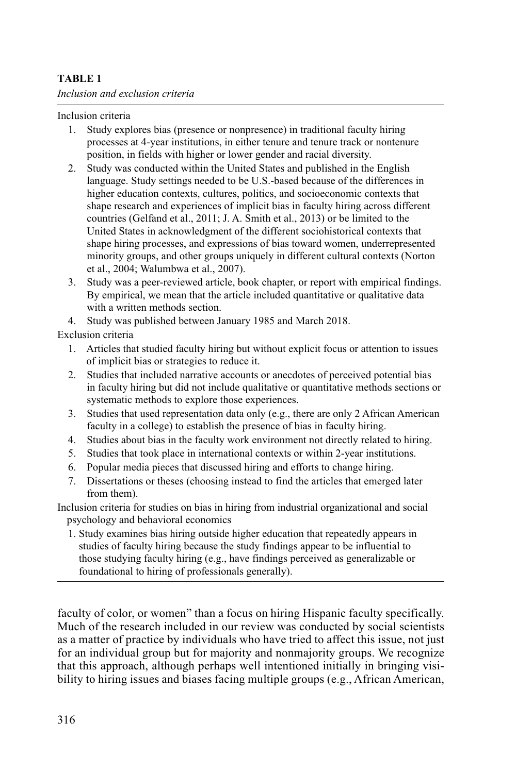# **Table 1**

*Inclusion and exclusion criteria*

Inclusion criteria

- 1. Study explores bias (presence or nonpresence) in traditional faculty hiring processes at 4-year institutions, in either tenure and tenure track or nontenure position, in fields with higher or lower gender and racial diversity.
- 2. Study was conducted within the United States and published in the English language. Study settings needed to be U.S.-based because of the differences in higher education contexts, cultures, politics, and socioeconomic contexts that shape research and experiences of implicit bias in faculty hiring across different countries (Gelfand et al., 2011; J. A. Smith et al., 2013) or be limited to the United States in acknowledgment of the different sociohistorical contexts that shape hiring processes, and expressions of bias toward women, underrepresented minority groups, and other groups uniquely in different cultural contexts (Norton et al., 2004; Walumbwa et al., 2007).
- 3. Study was a peer-reviewed article, book chapter, or report with empirical findings. By empirical, we mean that the article included quantitative or qualitative data with a written methods section.

4. Study was published between January 1985 and March 2018.

Exclusion criteria

- 1. Articles that studied faculty hiring but without explicit focus or attention to issues of implicit bias or strategies to reduce it.
- 2. Studies that included narrative accounts or anecdotes of perceived potential bias in faculty hiring but did not include qualitative or quantitative methods sections or systematic methods to explore those experiences.
- 3. Studies that used representation data only (e.g., there are only 2 African American faculty in a college) to establish the presence of bias in faculty hiring.
- 4. Studies about bias in the faculty work environment not directly related to hiring.
- 5. Studies that took place in international contexts or within 2-year institutions.
- 6. Popular media pieces that discussed hiring and efforts to change hiring.
- 7. Dissertations or theses (choosing instead to find the articles that emerged later from them).

Inclusion criteria for studies on bias in hiring from industrial organizational and social psychology and behavioral economics

1. Study examines bias hiring outside higher education that repeatedly appears in studies of faculty hiring because the study findings appear to be influential to those studying faculty hiring (e.g., have findings perceived as generalizable or foundational to hiring of professionals generally).

faculty of color, or women" than a focus on hiring Hispanic faculty specifically. Much of the research included in our review was conducted by social scientists as a matter of practice by individuals who have tried to affect this issue, not just for an individual group but for majority and nonmajority groups. We recognize that this approach, although perhaps well intentioned initially in bringing visibility to hiring issues and biases facing multiple groups (e.g., African American,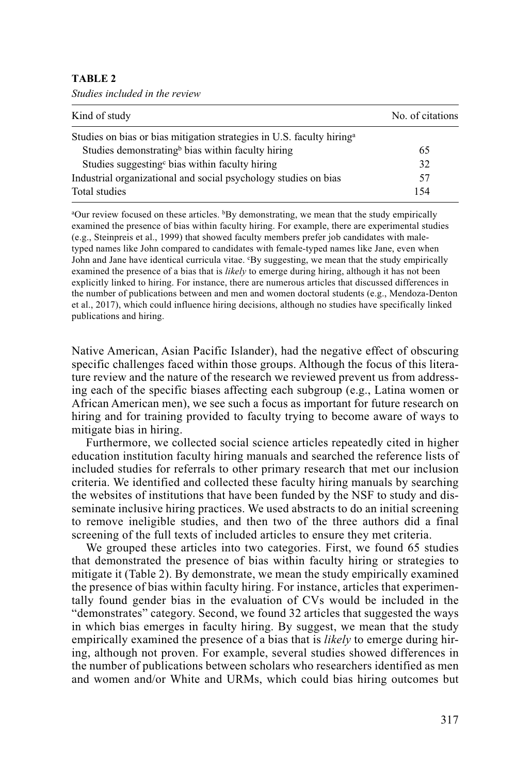# **Table 2**

| Kind of study                                                                     | No. of citations |
|-----------------------------------------------------------------------------------|------------------|
| Studies on bias or bias mitigation strategies in U.S. faculty hiring <sup>a</sup> |                  |
| Studies demonstrating bias within faculty hiring                                  | 65               |
| Studies suggesting bias within faculty hiring                                     | 32               |
| Industrial organizational and social psychology studies on bias                   | 57               |
| Total studies                                                                     | 154              |

<sup>a</sup>Our review focused on these articles. <sup>b</sup>By demonstrating, we mean that the study empirically examined the presence of bias within faculty hiring. For example, there are experimental studies (e.g., Steinpreis et al., 1999) that showed faculty members prefer job candidates with maletyped names like John compared to candidates with female-typed names like Jane, even when John and Jane have identical curricula vitae. <sup>c</sup>By suggesting, we mean that the study empirically examined the presence of a bias that is *likely* to emerge during hiring, although it has not been explicitly linked to hiring. For instance, there are numerous articles that discussed differences in the number of publications between and men and women doctoral students (e.g., Mendoza-Denton et al., 2017), which could influence hiring decisions, although no studies have specifically linked publications and hiring.

Native American, Asian Pacific Islander), had the negative effect of obscuring specific challenges faced within those groups. Although the focus of this literature review and the nature of the research we reviewed prevent us from addressing each of the specific biases affecting each subgroup (e.g., Latina women or African American men), we see such a focus as important for future research on hiring and for training provided to faculty trying to become aware of ways to mitigate bias in hiring.

Furthermore, we collected social science articles repeatedly cited in higher education institution faculty hiring manuals and searched the reference lists of included studies for referrals to other primary research that met our inclusion criteria. We identified and collected these faculty hiring manuals by searching the websites of institutions that have been funded by the NSF to study and disseminate inclusive hiring practices. We used abstracts to do an initial screening to remove ineligible studies, and then two of the three authors did a final screening of the full texts of included articles to ensure they met criteria.

We grouped these articles into two categories. First, we found 65 studies that demonstrated the presence of bias within faculty hiring or strategies to mitigate it (Table 2). By demonstrate, we mean the study empirically examined the presence of bias within faculty hiring. For instance, articles that experimentally found gender bias in the evaluation of CVs would be included in the "demonstrates" category. Second, we found 32 articles that suggested the ways in which bias emerges in faculty hiring. By suggest, we mean that the study empirically examined the presence of a bias that is *likely* to emerge during hiring, although not proven. For example, several studies showed differences in the number of publications between scholars who researchers identified as men and women and/or White and URMs, which could bias hiring outcomes but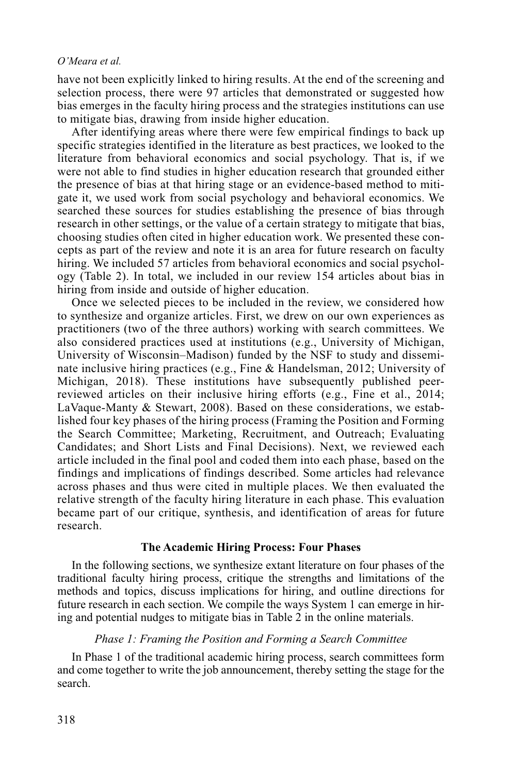have not been explicitly linked to hiring results. At the end of the screening and selection process, there were 97 articles that demonstrated or suggested how bias emerges in the faculty hiring process and the strategies institutions can use to mitigate bias, drawing from inside higher education.

After identifying areas where there were few empirical findings to back up specific strategies identified in the literature as best practices, we looked to the literature from behavioral economics and social psychology. That is, if we were not able to find studies in higher education research that grounded either the presence of bias at that hiring stage or an evidence-based method to mitigate it, we used work from social psychology and behavioral economics. We searched these sources for studies establishing the presence of bias through research in other settings, or the value of a certain strategy to mitigate that bias, choosing studies often cited in higher education work. We presented these concepts as part of the review and note it is an area for future research on faculty hiring. We included 57 articles from behavioral economics and social psychology (Table 2). In total, we included in our review 154 articles about bias in hiring from inside and outside of higher education.

Once we selected pieces to be included in the review, we considered how to synthesize and organize articles. First, we drew on our own experiences as practitioners (two of the three authors) working with search committees. We also considered practices used at institutions (e.g., University of Michigan, University of Wisconsin–Madison) funded by the NSF to study and disseminate inclusive hiring practices (e.g., Fine & Handelsman, 2012; University of Michigan, 2018). These institutions have subsequently published peerreviewed articles on their inclusive hiring efforts (e.g., Fine et al., 2014; LaVaque-Manty & Stewart, 2008). Based on these considerations, we established four key phases of the hiring process (Framing the Position and Forming the Search Committee; Marketing, Recruitment, and Outreach; Evaluating Candidates; and Short Lists and Final Decisions). Next, we reviewed each article included in the final pool and coded them into each phase, based on the findings and implications of findings described. Some articles had relevance across phases and thus were cited in multiple places. We then evaluated the relative strength of the faculty hiring literature in each phase. This evaluation became part of our critique, synthesis, and identification of areas for future research.

### **The Academic Hiring Process: Four Phases**

In the following sections, we synthesize extant literature on four phases of the traditional faculty hiring process, critique the strengths and limitations of the methods and topics, discuss implications for hiring, and outline directions for future research in each section. We compile the ways System 1 can emerge in hiring and potential nudges to mitigate bias in Table 2 in the online materials.

# *Phase 1: Framing the Position and Forming a Search Committee*

In Phase 1 of the traditional academic hiring process, search committees form and come together to write the job announcement, thereby setting the stage for the search.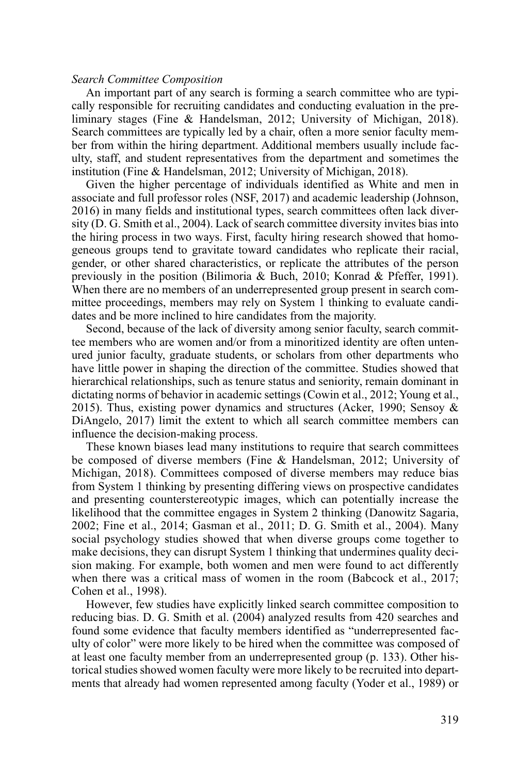### *Search Committee Composition*

An important part of any search is forming a search committee who are typically responsible for recruiting candidates and conducting evaluation in the preliminary stages (Fine & Handelsman, 2012; University of Michigan, 2018). Search committees are typically led by a chair, often a more senior faculty member from within the hiring department. Additional members usually include faculty, staff, and student representatives from the department and sometimes the institution (Fine & Handelsman, 2012; University of Michigan, 2018).

Given the higher percentage of individuals identified as White and men in associate and full professor roles (NSF, 2017) and academic leadership (Johnson, 2016) in many fields and institutional types, search committees often lack diversity (D. G. Smith et al., 2004). Lack of search committee diversity invites bias into the hiring process in two ways. First, faculty hiring research showed that homogeneous groups tend to gravitate toward candidates who replicate their racial, gender, or other shared characteristics, or replicate the attributes of the person previously in the position (Bilimoria & Buch, 2010; Konrad & Pfeffer, 1991). When there are no members of an underrepresented group present in search committee proceedings, members may rely on System 1 thinking to evaluate candidates and be more inclined to hire candidates from the majority.

Second, because of the lack of diversity among senior faculty, search committee members who are women and/or from a minoritized identity are often untenured junior faculty, graduate students, or scholars from other departments who have little power in shaping the direction of the committee. Studies showed that hierarchical relationships, such as tenure status and seniority, remain dominant in dictating norms of behavior in academic settings (Cowin et al., 2012; Young et al., 2015). Thus, existing power dynamics and structures (Acker, 1990; Sensoy & DiAngelo, 2017) limit the extent to which all search committee members can influence the decision-making process.

These known biases lead many institutions to require that search committees be composed of diverse members (Fine & Handelsman, 2012; University of Michigan, 2018). Committees composed of diverse members may reduce bias from System 1 thinking by presenting differing views on prospective candidates and presenting counterstereotypic images, which can potentially increase the likelihood that the committee engages in System 2 thinking (Danowitz Sagaria, 2002; Fine et al., 2014; Gasman et al., 2011; D. G. Smith et al., 2004). Many social psychology studies showed that when diverse groups come together to make decisions, they can disrupt System 1 thinking that undermines quality decision making. For example, both women and men were found to act differently when there was a critical mass of women in the room (Babcock et al., 2017; Cohen et al., 1998).

However, few studies have explicitly linked search committee composition to reducing bias. D. G. Smith et al. (2004) analyzed results from 420 searches and found some evidence that faculty members identified as "underrepresented faculty of color" were more likely to be hired when the committee was composed of at least one faculty member from an underrepresented group (p. 133). Other historical studies showed women faculty were more likely to be recruited into departments that already had women represented among faculty (Yoder et al., 1989) or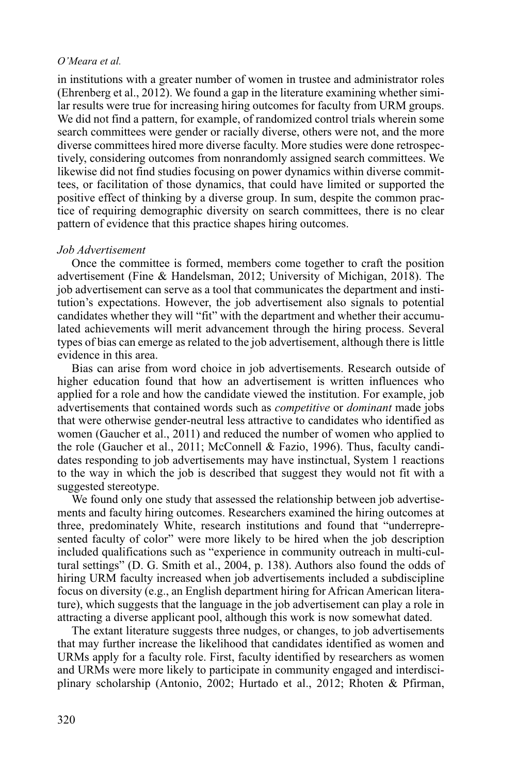in institutions with a greater number of women in trustee and administrator roles (Ehrenberg et al., 2012). We found a gap in the literature examining whether similar results were true for increasing hiring outcomes for faculty from URM groups. We did not find a pattern, for example, of randomized control trials wherein some search committees were gender or racially diverse, others were not, and the more diverse committees hired more diverse faculty. More studies were done retrospectively, considering outcomes from nonrandomly assigned search committees. We likewise did not find studies focusing on power dynamics within diverse committees, or facilitation of those dynamics, that could have limited or supported the positive effect of thinking by a diverse group. In sum, despite the common practice of requiring demographic diversity on search committees, there is no clear pattern of evidence that this practice shapes hiring outcomes.

#### *Job Advertisement*

Once the committee is formed, members come together to craft the position advertisement (Fine & Handelsman, 2012; University of Michigan, 2018). The job advertisement can serve as a tool that communicates the department and institution's expectations. However, the job advertisement also signals to potential candidates whether they will "fit" with the department and whether their accumulated achievements will merit advancement through the hiring process. Several types of bias can emerge as related to the job advertisement, although there is little evidence in this area.

Bias can arise from word choice in job advertisements. Research outside of higher education found that how an advertisement is written influences who applied for a role and how the candidate viewed the institution. For example, job advertisements that contained words such as *competitive* or *dominant* made jobs that were otherwise gender-neutral less attractive to candidates who identified as women (Gaucher et al., 2011) and reduced the number of women who applied to the role (Gaucher et al., 2011; McConnell & Fazio, 1996). Thus, faculty candidates responding to job advertisements may have instinctual, System 1 reactions to the way in which the job is described that suggest they would not fit with a suggested stereotype.

We found only one study that assessed the relationship between job advertisements and faculty hiring outcomes. Researchers examined the hiring outcomes at three, predominately White, research institutions and found that "underrepresented faculty of color" were more likely to be hired when the job description included qualifications such as "experience in community outreach in multi-cultural settings" (D. G. Smith et al., 2004, p. 138). Authors also found the odds of hiring URM faculty increased when job advertisements included a subdiscipline focus on diversity (e.g., an English department hiring for African American literature), which suggests that the language in the job advertisement can play a role in attracting a diverse applicant pool, although this work is now somewhat dated.

The extant literature suggests three nudges, or changes, to job advertisements that may further increase the likelihood that candidates identified as women and URMs apply for a faculty role. First, faculty identified by researchers as women and URMs were more likely to participate in community engaged and interdisciplinary scholarship (Antonio, 2002; Hurtado et al., 2012; Rhoten & Pfirman,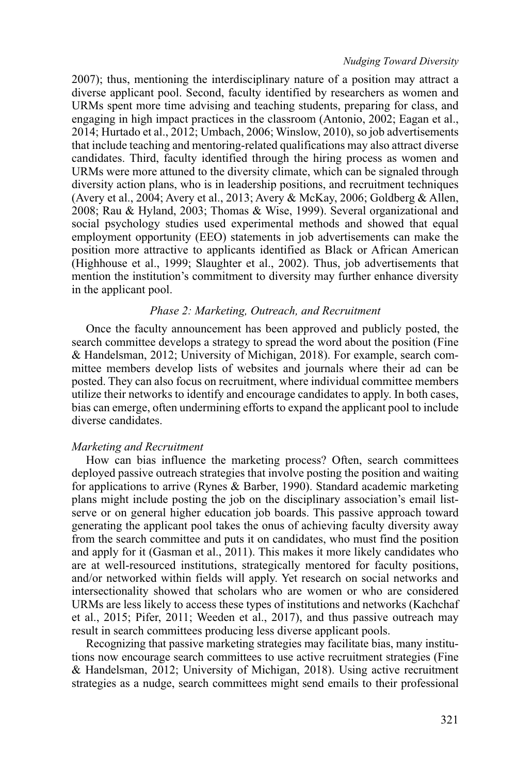2007); thus, mentioning the interdisciplinary nature of a position may attract a diverse applicant pool. Second, faculty identified by researchers as women and URMs spent more time advising and teaching students, preparing for class, and engaging in high impact practices in the classroom (Antonio, 2002; Eagan et al., 2014; Hurtado et al., 2012; Umbach, 2006; Winslow, 2010), so job advertisements that include teaching and mentoring-related qualifications may also attract diverse candidates. Third, faculty identified through the hiring process as women and URMs were more attuned to the diversity climate, which can be signaled through diversity action plans, who is in leadership positions, and recruitment techniques (Avery et al., 2004; Avery et al., 2013; Avery & McKay, 2006; Goldberg & Allen, 2008; Rau & Hyland, 2003; Thomas & Wise, 1999). Several organizational and social psychology studies used experimental methods and showed that equal employment opportunity (EEO) statements in job advertisements can make the position more attractive to applicants identified as Black or African American (Highhouse et al., 1999; Slaughter et al., 2002). Thus, job advertisements that mention the institution's commitment to diversity may further enhance diversity in the applicant pool.

# *Phase 2: Marketing, Outreach, and Recruitment*

Once the faculty announcement has been approved and publicly posted, the search committee develops a strategy to spread the word about the position (Fine & Handelsman, 2012; University of Michigan, 2018). For example, search committee members develop lists of websites and journals where their ad can be posted. They can also focus on recruitment, where individual committee members utilize their networks to identify and encourage candidates to apply. In both cases, bias can emerge, often undermining efforts to expand the applicant pool to include diverse candidates.

# *Marketing and Recruitment*

How can bias influence the marketing process? Often, search committees deployed passive outreach strategies that involve posting the position and waiting for applications to arrive (Rynes & Barber, 1990). Standard academic marketing plans might include posting the job on the disciplinary association's email listserve or on general higher education job boards. This passive approach toward generating the applicant pool takes the onus of achieving faculty diversity away from the search committee and puts it on candidates, who must find the position and apply for it (Gasman et al., 2011). This makes it more likely candidates who are at well-resourced institutions, strategically mentored for faculty positions, and/or networked within fields will apply. Yet research on social networks and intersectionality showed that scholars who are women or who are considered URMs are less likely to access these types of institutions and networks (Kachchaf et al., 2015; Pifer, 2011; Weeden et al., 2017), and thus passive outreach may result in search committees producing less diverse applicant pools.

Recognizing that passive marketing strategies may facilitate bias, many institutions now encourage search committees to use active recruitment strategies (Fine & Handelsman, 2012; University of Michigan, 2018). Using active recruitment strategies as a nudge, search committees might send emails to their professional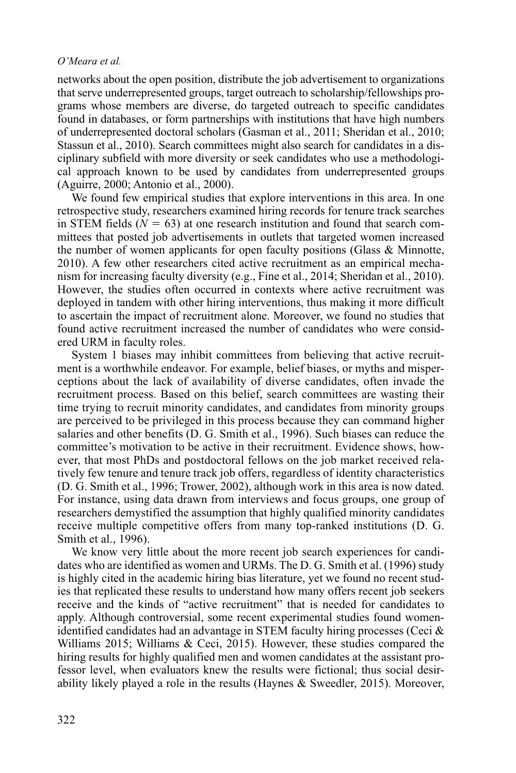networks about the open position, distribute the job advertisement to organizations that serve underrepresented groups, target outreach to scholarship/fellowships programs whose members are diverse, do targeted outreach to specific candidates found in databases, or form partnerships with institutions that have high numbers of underrepresented doctoral scholars (Gasman et al., 2011; Sheridan et al., 2010; Stassun et al., 2010). Search committees might also search for candidates in a disciplinary subfield with more diversity or seek candidates who use a methodological approach known to be used by candidates from underrepresented groups (Aguirre, 2000; Antonio et al., 2000).

We found few empirical studies that explore interventions in this area. In one retrospective study, researchers examined hiring records for tenure track searches in STEM fields  $(N = 63)$  at one research institution and found that search committees that posted job advertisements in outlets that targeted women increased the number of women applicants for open faculty positions (Glass & Minnotte, 2010). A few other researchers cited active recruitment as an empirical mechanism for increasing faculty diversity (e.g., Fine et al., 2014; Sheridan et al., 2010). However, the studies often occurred in contexts where active recruitment was deployed in tandem with other hiring interventions, thus making it more difficult to ascertain the impact of recruitment alone. Moreover, we found no studies that found active recruitment increased the number of candidates who were considered URM in faculty roles.

System 1 biases may inhibit committees from believing that active recruitment is a worthwhile endeavor. For example, belief biases, or myths and misperceptions about the lack of availability of diverse candidates, often invade the recruitment process. Based on this belief, search committees are wasting their time trying to recruit minority candidates, and candidates from minority groups are perceived to be privileged in this process because they can command higher salaries and other benefits (D. G. Smith et al., 1996). Such biases can reduce the committee's motivation to be active in their recruitment. Evidence shows, however, that most PhDs and postdoctoral fellows on the job market received relatively few tenure and tenure track job offers, regardless of identity characteristics (D. G. Smith et al., 1996; Trower, 2002), although work in this area is now dated. For instance, using data drawn from interviews and focus groups, one group of researchers demystified the assumption that highly qualified minority candidates receive multiple competitive offers from many top-ranked institutions (D. G. Smith et al., 1996).

We know very little about the more recent job search experiences for candidates who are identified as women and URMs. The D. G. Smith et al. (1996) study is highly cited in the academic hiring bias literature, yet we found no recent studies that replicated these results to understand how many offers recent job seekers receive and the kinds of "active recruitment" that is needed for candidates to apply. Although controversial, some recent experimental studies found womenidentified candidates had an advantage in STEM faculty hiring processes (Ceci  $\&$ Williams 2015; Williams & Ceci, 2015). However, these studies compared the hiring results for highly qualified men and women candidates at the assistant professor level, when evaluators knew the results were fictional; thus social desirability likely played a role in the results (Haynes & Sweedler, 2015). Moreover,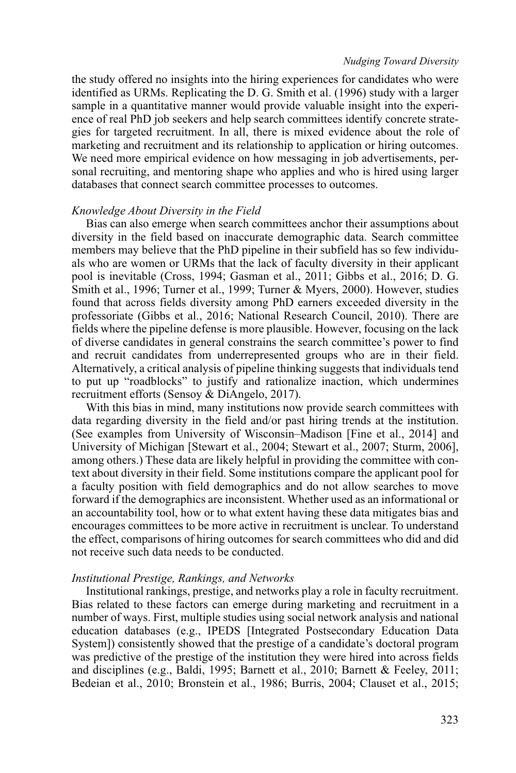the study offered no insights into the hiring experiences for candidates who were identified as URMs. Replicating the D. G. Smith et al. (1996) study with a larger sample in a quantitative manner would provide valuable insight into the experience of real PhD job seekers and help search committees identify concrete strategies for targeted recruitment. In all, there is mixed evidence about the role of marketing and recruitment and its relationship to application or hiring outcomes. We need more empirical evidence on how messaging in job advertisements, personal recruiting, and mentoring shape who applies and who is hired using larger databases that connect search committee processes to outcomes.

#### *Knowledge About Diversity in the Field*

Bias can also emerge when search committees anchor their assumptions about diversity in the field based on inaccurate demographic data. Search committee members may believe that the PhD pipeline in their subfield has so few individuals who are women or URMs that the lack of faculty diversity in their applicant pool is inevitable (Cross, 1994; Gasman et al., 2011; Gibbs et al., 2016; D. G. Smith et al., 1996; Turner et al., 1999; Turner & Myers, 2000). However, studies found that across fields diversity among PhD earners exceeded diversity in the professoriate (Gibbs et al., 2016; National Research Council, 2010). There are fields where the pipeline defense is more plausible. However, focusing on the lack of diverse candidates in general constrains the search committee's power to find and recruit candidates from underrepresented groups who are in their field. Alternatively, a critical analysis of pipeline thinking suggests that individuals tend to put up "roadblocks" to justify and rationalize inaction, which undermines recruitment efforts (Sensoy & DiAngelo, 2017).

With this bias in mind, many institutions now provide search committees with data regarding diversity in the field and/or past hiring trends at the institution. (See examples from University of Wisconsin–Madison [Fine et al., 2014] and University of Michigan [Stewart et al., 2004; Stewart et al., 2007; Sturm, 2006], among others.) These data are likely helpful in providing the committee with context about diversity in their field. Some institutions compare the applicant pool for a faculty position with field demographics and do not allow searches to move forward if the demographics are inconsistent. Whether used as an informational or an accountability tool, how or to what extent having these data mitigates bias and encourages committees to be more active in recruitment is unclear. To understand the effect, comparisons of hiring outcomes for search committees who did and did not receive such data needs to be conducted.

### *Institutional Prestige, Rankings, and Networks*

Institutional rankings, prestige, and networks play a role in faculty recruitment. Bias related to these factors can emerge during marketing and recruitment in a number of ways. First, multiple studies using social network analysis and national education databases (e.g., IPEDS [Integrated Postsecondary Education Data System]) consistently showed that the prestige of a candidate's doctoral program was predictive of the prestige of the institution they were hired into across fields and disciplines (e.g., Baldi, 1995; Barnett et al., 2010; Barnett & Feeley, 2011; Bedeian et al., 2010; Bronstein et al., 1986; Burris, 2004; Clauset et al., 2015;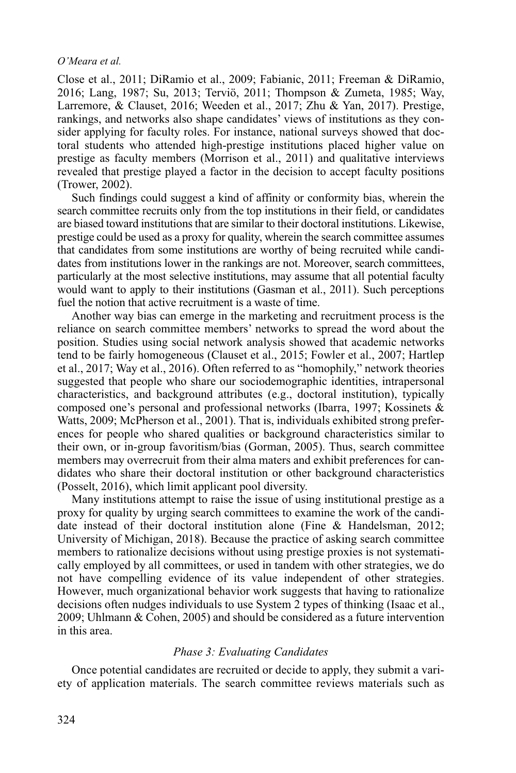Close et al., 2011; DiRamio et al., 2009; Fabianic, 2011; Freeman & DiRamio, 2016; Lang, 1987; Su, 2013; Terviö, 2011; Thompson & Zumeta, 1985; Way, Larremore, & Clauset, 2016; Weeden et al., 2017; Zhu & Yan, 2017). Prestige, rankings, and networks also shape candidates' views of institutions as they consider applying for faculty roles. For instance, national surveys showed that doctoral students who attended high-prestige institutions placed higher value on prestige as faculty members (Morrison et al., 2011) and qualitative interviews revealed that prestige played a factor in the decision to accept faculty positions (Trower, 2002).

Such findings could suggest a kind of affinity or conformity bias, wherein the search committee recruits only from the top institutions in their field, or candidates are biased toward institutions that are similar to their doctoral institutions. Likewise, prestige could be used as a proxy for quality, wherein the search committee assumes that candidates from some institutions are worthy of being recruited while candidates from institutions lower in the rankings are not. Moreover, search committees, particularly at the most selective institutions, may assume that all potential faculty would want to apply to their institutions (Gasman et al., 2011). Such perceptions fuel the notion that active recruitment is a waste of time.

Another way bias can emerge in the marketing and recruitment process is the reliance on search committee members' networks to spread the word about the position. Studies using social network analysis showed that academic networks tend to be fairly homogeneous (Clauset et al., 2015; Fowler et al., 2007; Hartlep et al., 2017; Way et al., 2016). Often referred to as "homophily," network theories suggested that people who share our sociodemographic identities, intrapersonal characteristics, and background attributes (e.g., doctoral institution), typically composed one's personal and professional networks (Ibarra, 1997; Kossinets & Watts, 2009; McPherson et al., 2001). That is, individuals exhibited strong preferences for people who shared qualities or background characteristics similar to their own, or in-group favoritism/bias (Gorman, 2005). Thus, search committee members may overrecruit from their alma maters and exhibit preferences for candidates who share their doctoral institution or other background characteristics (Posselt, 2016), which limit applicant pool diversity.

Many institutions attempt to raise the issue of using institutional prestige as a proxy for quality by urging search committees to examine the work of the candidate instead of their doctoral institution alone (Fine & Handelsman, 2012; University of Michigan, 2018). Because the practice of asking search committee members to rationalize decisions without using prestige proxies is not systematically employed by all committees, or used in tandem with other strategies, we do not have compelling evidence of its value independent of other strategies. However, much organizational behavior work suggests that having to rationalize decisions often nudges individuals to use System 2 types of thinking (Isaac et al., 2009; Uhlmann & Cohen, 2005) and should be considered as a future intervention in this area.

### *Phase 3: Evaluating Candidates*

Once potential candidates are recruited or decide to apply, they submit a variety of application materials. The search committee reviews materials such as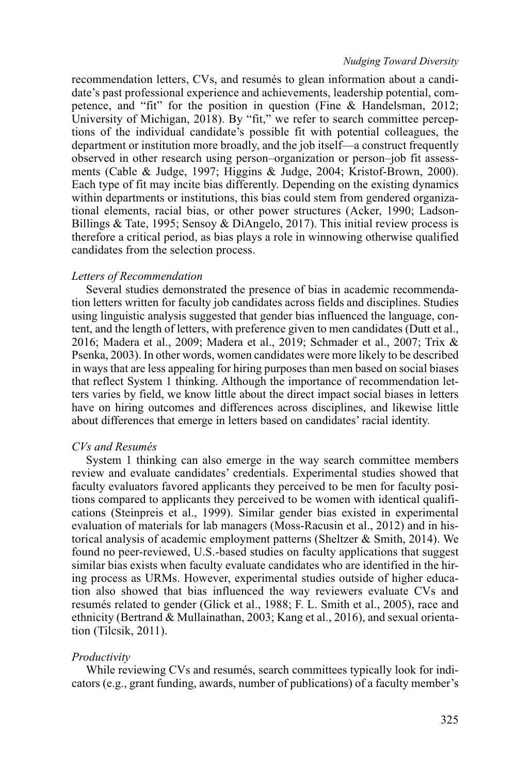recommendation letters, CVs, and resumés to glean information about a candidate's past professional experience and achievements, leadership potential, competence, and "fit" for the position in question (Fine & Handelsman, 2012; University of Michigan, 2018). By "fit," we refer to search committee perceptions of the individual candidate's possible fit with potential colleagues, the department or institution more broadly, and the job itself—a construct frequently observed in other research using person–organization or person–job fit assessments (Cable & Judge, 1997; Higgins & Judge, 2004; Kristof-Brown, 2000). Each type of fit may incite bias differently. Depending on the existing dynamics within departments or institutions, this bias could stem from gendered organizational elements, racial bias, or other power structures (Acker, 1990; Ladson-Billings & Tate, 1995; Sensoy & DiAngelo, 2017). This initial review process is therefore a critical period, as bias plays a role in winnowing otherwise qualified candidates from the selection process.

#### *Letters of Recommendation*

Several studies demonstrated the presence of bias in academic recommendation letters written for faculty job candidates across fields and disciplines. Studies using linguistic analysis suggested that gender bias influenced the language, content, and the length of letters, with preference given to men candidates (Dutt et al., 2016; Madera et al., 2009; Madera et al., 2019; Schmader et al., 2007; Trix & Psenka, 2003). In other words, women candidates were more likely to be described in ways that are less appealing for hiring purposes than men based on social biases that reflect System 1 thinking. Although the importance of recommendation letters varies by field, we know little about the direct impact social biases in letters have on hiring outcomes and differences across disciplines, and likewise little about differences that emerge in letters based on candidates' racial identity.

# *CVs and Resumés*

System 1 thinking can also emerge in the way search committee members review and evaluate candidates' credentials. Experimental studies showed that faculty evaluators favored applicants they perceived to be men for faculty positions compared to applicants they perceived to be women with identical qualifications (Steinpreis et al., 1999). Similar gender bias existed in experimental evaluation of materials for lab managers (Moss-Racusin et al., 2012) and in historical analysis of academic employment patterns (Sheltzer & Smith, 2014). We found no peer-reviewed, U.S.-based studies on faculty applications that suggest similar bias exists when faculty evaluate candidates who are identified in the hiring process as URMs. However, experimental studies outside of higher education also showed that bias influenced the way reviewers evaluate CVs and resumés related to gender (Glick et al., 1988; F. L. Smith et al., 2005), race and ethnicity (Bertrand & Mullainathan, 2003; Kang et al., 2016), and sexual orientation (Tilcsik, 2011).

### *Productivity*

While reviewing CVs and resumés, search committees typically look for indicators (e.g., grant funding, awards, number of publications) of a faculty member's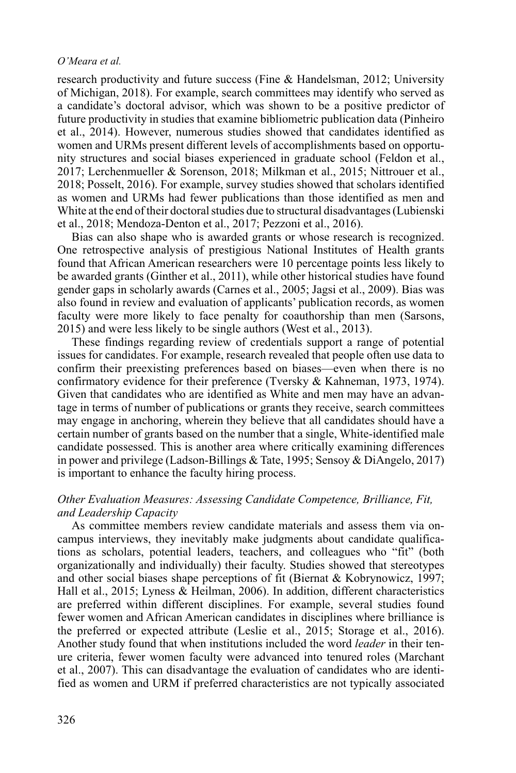research productivity and future success (Fine & Handelsman, 2012; University of Michigan, 2018). For example, search committees may identify who served as a candidate's doctoral advisor, which was shown to be a positive predictor of future productivity in studies that examine bibliometric publication data (Pinheiro et al., 2014). However, numerous studies showed that candidates identified as women and URMs present different levels of accomplishments based on opportunity structures and social biases experienced in graduate school (Feldon et al., 2017; Lerchenmueller & Sorenson, 2018; Milkman et al., 2015; Nittrouer et al., 2018; Posselt, 2016). For example, survey studies showed that scholars identified as women and URMs had fewer publications than those identified as men and White at the end of their doctoral studies due to structural disadvantages (Lubienski et al., 2018; Mendoza-Denton et al., 2017; Pezzoni et al., 2016).

Bias can also shape who is awarded grants or whose research is recognized. One retrospective analysis of prestigious National Institutes of Health grants found that African American researchers were 10 percentage points less likely to be awarded grants (Ginther et al., 2011), while other historical studies have found gender gaps in scholarly awards (Carnes et al., 2005; Jagsi et al., 2009). Bias was also found in review and evaluation of applicants' publication records, as women faculty were more likely to face penalty for coauthorship than men (Sarsons, 2015) and were less likely to be single authors (West et al., 2013).

These findings regarding review of credentials support a range of potential issues for candidates. For example, research revealed that people often use data to confirm their preexisting preferences based on biases—even when there is no confirmatory evidence for their preference (Tversky & Kahneman, 1973, 1974). Given that candidates who are identified as White and men may have an advantage in terms of number of publications or grants they receive, search committees may engage in anchoring, wherein they believe that all candidates should have a certain number of grants based on the number that a single, White-identified male candidate possessed. This is another area where critically examining differences in power and privilege (Ladson-Billings & Tate, 1995; Sensoy & DiAngelo, 2017) is important to enhance the faculty hiring process.

# *Other Evaluation Measures: Assessing Candidate Competence, Brilliance, Fit, and Leadership Capacity*

As committee members review candidate materials and assess them via oncampus interviews, they inevitably make judgments about candidate qualifications as scholars, potential leaders, teachers, and colleagues who "fit" (both organizationally and individually) their faculty. Studies showed that stereotypes and other social biases shape perceptions of fit (Biernat & Kobrynowicz, 1997; Hall et al., 2015; Lyness & Heilman, 2006). In addition, different characteristics are preferred within different disciplines. For example, several studies found fewer women and African American candidates in disciplines where brilliance is the preferred or expected attribute (Leslie et al., 2015; Storage et al., 2016). Another study found that when institutions included the word *leader* in their tenure criteria, fewer women faculty were advanced into tenured roles (Marchant et al., 2007). This can disadvantage the evaluation of candidates who are identified as women and URM if preferred characteristics are not typically associated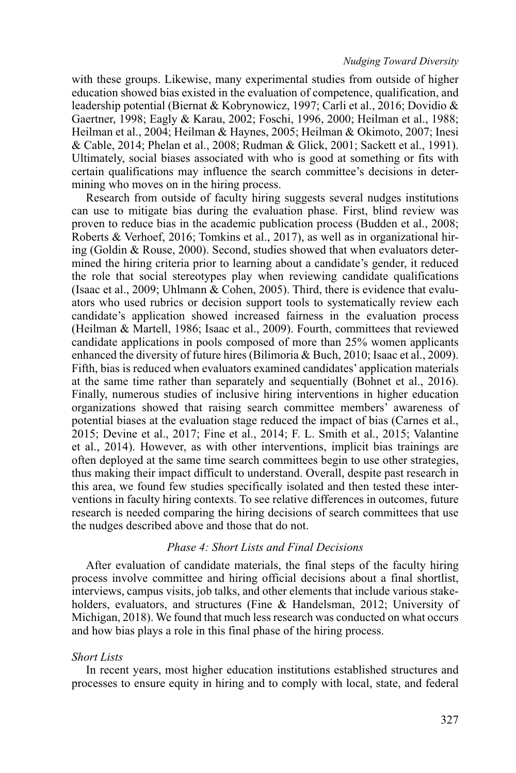with these groups. Likewise, many experimental studies from outside of higher education showed bias existed in the evaluation of competence, qualification, and leadership potential (Biernat & Kobrynowicz, 1997; Carli et al., 2016; Dovidio & Gaertner, 1998; Eagly & Karau, 2002; Foschi, 1996, 2000; Heilman et al., 1988; Heilman et al., 2004; Heilman & Haynes, 2005; Heilman & Okimoto, 2007; Inesi & Cable, 2014; Phelan et al., 2008; Rudman & Glick, 2001; Sackett et al., 1991). Ultimately, social biases associated with who is good at something or fits with certain qualifications may influence the search committee's decisions in determining who moves on in the hiring process.

Research from outside of faculty hiring suggests several nudges institutions can use to mitigate bias during the evaluation phase. First, blind review was proven to reduce bias in the academic publication process (Budden et al., 2008; Roberts & Verhoef, 2016; Tomkins et al., 2017), as well as in organizational hiring (Goldin & Rouse, 2000). Second, studies showed that when evaluators determined the hiring criteria prior to learning about a candidate's gender, it reduced the role that social stereotypes play when reviewing candidate qualifications (Isaac et al., 2009; Uhlmann & Cohen, 2005). Third, there is evidence that evaluators who used rubrics or decision support tools to systematically review each candidate's application showed increased fairness in the evaluation process (Heilman & Martell, 1986; Isaac et al., 2009). Fourth, committees that reviewed candidate applications in pools composed of more than 25% women applicants enhanced the diversity of future hires (Bilimoria & Buch, 2010; Isaac et al., 2009). Fifth, bias is reduced when evaluators examined candidates' application materials at the same time rather than separately and sequentially (Bohnet et al., 2016). Finally, numerous studies of inclusive hiring interventions in higher education organizations showed that raising search committee members' awareness of potential biases at the evaluation stage reduced the impact of bias (Carnes et al., 2015; Devine et al., 2017; Fine et al., 2014; F. L. Smith et al., 2015; Valantine et al., 2014). However, as with other interventions, implicit bias trainings are often deployed at the same time search committees begin to use other strategies, thus making their impact difficult to understand. Overall, despite past research in this area, we found few studies specifically isolated and then tested these interventions in faculty hiring contexts. To see relative differences in outcomes, future research is needed comparing the hiring decisions of search committees that use the nudges described above and those that do not.

# *Phase 4: Short Lists and Final Decisions*

After evaluation of candidate materials, the final steps of the faculty hiring process involve committee and hiring official decisions about a final shortlist, interviews, campus visits, job talks, and other elements that include various stakeholders, evaluators, and structures (Fine & Handelsman, 2012; University of Michigan, 2018). We found that much less research was conducted on what occurs and how bias plays a role in this final phase of the hiring process.

#### *Short Lists*

In recent years, most higher education institutions established structures and processes to ensure equity in hiring and to comply with local, state, and federal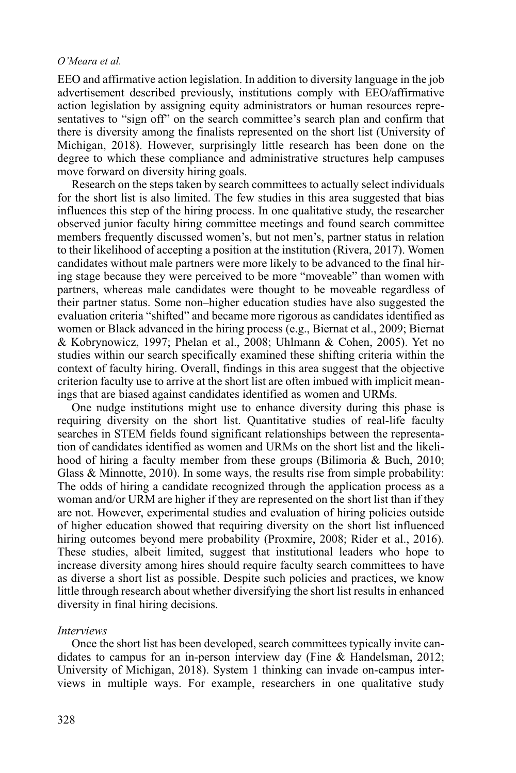EEO and affirmative action legislation. In addition to diversity language in the job advertisement described previously, institutions comply with EEO/affirmative action legislation by assigning equity administrators or human resources representatives to "sign off" on the search committee's search plan and confirm that there is diversity among the finalists represented on the short list (University of Michigan, 2018). However, surprisingly little research has been done on the degree to which these compliance and administrative structures help campuses move forward on diversity hiring goals.

Research on the steps taken by search committees to actually select individuals for the short list is also limited. The few studies in this area suggested that bias influences this step of the hiring process. In one qualitative study, the researcher observed junior faculty hiring committee meetings and found search committee members frequently discussed women's, but not men's, partner status in relation to their likelihood of accepting a position at the institution (Rivera, 2017). Women candidates without male partners were more likely to be advanced to the final hiring stage because they were perceived to be more "moveable" than women with partners, whereas male candidates were thought to be moveable regardless of their partner status. Some non–higher education studies have also suggested the evaluation criteria "shifted" and became more rigorous as candidates identified as women or Black advanced in the hiring process (e.g., Biernat et al., 2009; Biernat & Kobrynowicz, 1997; Phelan et al., 2008; Uhlmann & Cohen, 2005). Yet no studies within our search specifically examined these shifting criteria within the context of faculty hiring. Overall, findings in this area suggest that the objective criterion faculty use to arrive at the short list are often imbued with implicit meanings that are biased against candidates identified as women and URMs.

One nudge institutions might use to enhance diversity during this phase is requiring diversity on the short list. Quantitative studies of real-life faculty searches in STEM fields found significant relationships between the representation of candidates identified as women and URMs on the short list and the likelihood of hiring a faculty member from these groups (Bilimoria & Buch, 2010; Glass & Minnotte, 2010). In some ways, the results rise from simple probability: The odds of hiring a candidate recognized through the application process as a woman and/or URM are higher if they are represented on the short list than if they are not. However, experimental studies and evaluation of hiring policies outside of higher education showed that requiring diversity on the short list influenced hiring outcomes beyond mere probability (Proxmire, 2008; Rider et al., 2016). These studies, albeit limited, suggest that institutional leaders who hope to increase diversity among hires should require faculty search committees to have as diverse a short list as possible. Despite such policies and practices, we know little through research about whether diversifying the short list results in enhanced diversity in final hiring decisions.

# *Interviews*

Once the short list has been developed, search committees typically invite candidates to campus for an in-person interview day (Fine & Handelsman, 2012; University of Michigan, 2018). System 1 thinking can invade on-campus interviews in multiple ways. For example, researchers in one qualitative study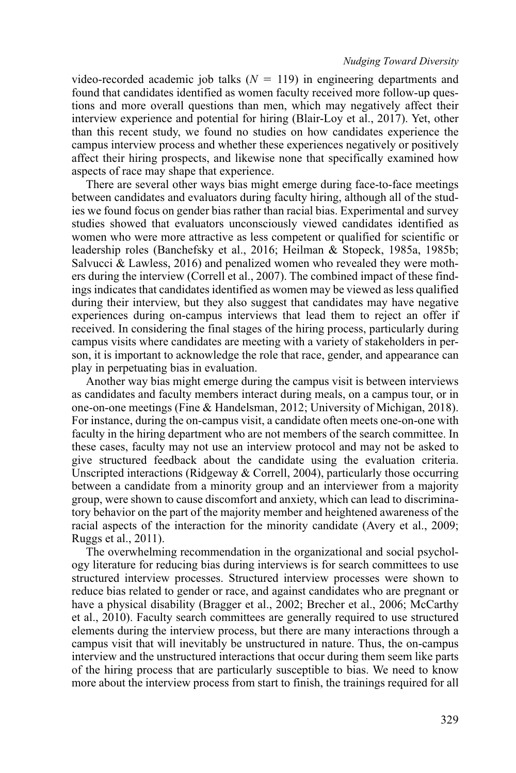video-recorded academic job talks  $(N = 119)$  in engineering departments and found that candidates identified as women faculty received more follow-up questions and more overall questions than men, which may negatively affect their interview experience and potential for hiring (Blair-Loy et al., 2017). Yet, other than this recent study, we found no studies on how candidates experience the campus interview process and whether these experiences negatively or positively affect their hiring prospects, and likewise none that specifically examined how aspects of race may shape that experience.

There are several other ways bias might emerge during face-to-face meetings between candidates and evaluators during faculty hiring, although all of the studies we found focus on gender bias rather than racial bias. Experimental and survey studies showed that evaluators unconsciously viewed candidates identified as women who were more attractive as less competent or qualified for scientific or leadership roles (Banchefsky et al., 2016; Heilman & Stopeck, 1985a, 1985b; Salvucci & Lawless,  $2016$ ) and penalized women who revealed they were mothers during the interview (Correll et al., 2007). The combined impact of these findings indicates that candidates identified as women may be viewed as less qualified during their interview, but they also suggest that candidates may have negative experiences during on-campus interviews that lead them to reject an offer if received. In considering the final stages of the hiring process, particularly during campus visits where candidates are meeting with a variety of stakeholders in person, it is important to acknowledge the role that race, gender, and appearance can play in perpetuating bias in evaluation.

Another way bias might emerge during the campus visit is between interviews as candidates and faculty members interact during meals, on a campus tour, or in one-on-one meetings (Fine & Handelsman, 2012; University of Michigan, 2018). For instance, during the on-campus visit, a candidate often meets one-on-one with faculty in the hiring department who are not members of the search committee. In these cases, faculty may not use an interview protocol and may not be asked to give structured feedback about the candidate using the evaluation criteria. Unscripted interactions (Ridgeway  $&$  Correll, 2004), particularly those occurring between a candidate from a minority group and an interviewer from a majority group, were shown to cause discomfort and anxiety, which can lead to discriminatory behavior on the part of the majority member and heightened awareness of the racial aspects of the interaction for the minority candidate (Avery et al., 2009; Ruggs et al., 2011).

The overwhelming recommendation in the organizational and social psychology literature for reducing bias during interviews is for search committees to use structured interview processes. Structured interview processes were shown to reduce bias related to gender or race, and against candidates who are pregnant or have a physical disability (Bragger et al., 2002; Brecher et al., 2006; McCarthy et al., 2010). Faculty search committees are generally required to use structured elements during the interview process, but there are many interactions through a campus visit that will inevitably be unstructured in nature. Thus, the on-campus interview and the unstructured interactions that occur during them seem like parts of the hiring process that are particularly susceptible to bias. We need to know more about the interview process from start to finish, the trainings required for all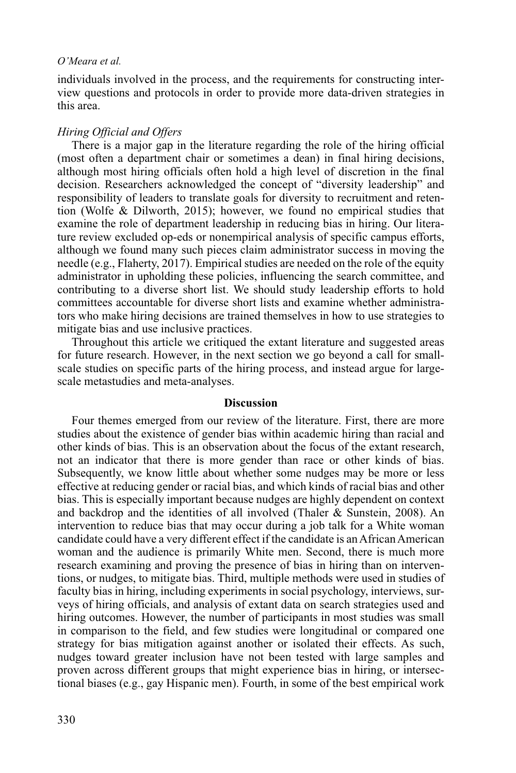individuals involved in the process, and the requirements for constructing interview questions and protocols in order to provide more data-driven strategies in this area.

### *Hiring Official and Offers*

There is a major gap in the literature regarding the role of the hiring official (most often a department chair or sometimes a dean) in final hiring decisions, although most hiring officials often hold a high level of discretion in the final decision. Researchers acknowledged the concept of "diversity leadership" and responsibility of leaders to translate goals for diversity to recruitment and retention (Wolfe & Dilworth, 2015); however, we found no empirical studies that examine the role of department leadership in reducing bias in hiring. Our literature review excluded op-eds or nonempirical analysis of specific campus efforts, although we found many such pieces claim administrator success in moving the needle (e.g., Flaherty, 2017). Empirical studies are needed on the role of the equity administrator in upholding these policies, influencing the search committee, and contributing to a diverse short list. We should study leadership efforts to hold committees accountable for diverse short lists and examine whether administrators who make hiring decisions are trained themselves in how to use strategies to mitigate bias and use inclusive practices.

Throughout this article we critiqued the extant literature and suggested areas for future research. However, in the next section we go beyond a call for smallscale studies on specific parts of the hiring process, and instead argue for largescale metastudies and meta-analyses.

# **Discussion**

Four themes emerged from our review of the literature. First, there are more studies about the existence of gender bias within academic hiring than racial and other kinds of bias. This is an observation about the focus of the extant research, not an indicator that there is more gender than race or other kinds of bias. Subsequently, we know little about whether some nudges may be more or less effective at reducing gender or racial bias, and which kinds of racial bias and other bias. This is especially important because nudges are highly dependent on context and backdrop and the identities of all involved (Thaler & Sunstein, 2008). An intervention to reduce bias that may occur during a job talk for a White woman candidate could have a very different effect if the candidate is an African American woman and the audience is primarily White men. Second, there is much more research examining and proving the presence of bias in hiring than on interventions, or nudges, to mitigate bias. Third, multiple methods were used in studies of faculty bias in hiring, including experiments in social psychology, interviews, surveys of hiring officials, and analysis of extant data on search strategies used and hiring outcomes. However, the number of participants in most studies was small in comparison to the field, and few studies were longitudinal or compared one strategy for bias mitigation against another or isolated their effects. As such, nudges toward greater inclusion have not been tested with large samples and proven across different groups that might experience bias in hiring, or intersectional biases (e.g., gay Hispanic men). Fourth, in some of the best empirical work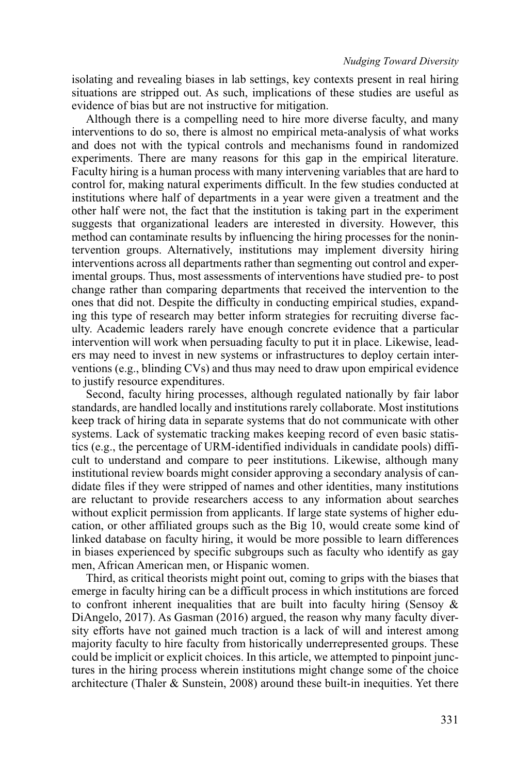isolating and revealing biases in lab settings, key contexts present in real hiring situations are stripped out. As such, implications of these studies are useful as evidence of bias but are not instructive for mitigation.

Although there is a compelling need to hire more diverse faculty, and many interventions to do so, there is almost no empirical meta-analysis of what works and does not with the typical controls and mechanisms found in randomized experiments. There are many reasons for this gap in the empirical literature. Faculty hiring is a human process with many intervening variables that are hard to control for, making natural experiments difficult. In the few studies conducted at institutions where half of departments in a year were given a treatment and the other half were not, the fact that the institution is taking part in the experiment suggests that organizational leaders are interested in diversity. However, this method can contaminate results by influencing the hiring processes for the nonintervention groups. Alternatively, institutions may implement diversity hiring interventions across all departments rather than segmenting out control and experimental groups. Thus, most assessments of interventions have studied pre- to post change rather than comparing departments that received the intervention to the ones that did not. Despite the difficulty in conducting empirical studies, expanding this type of research may better inform strategies for recruiting diverse faculty. Academic leaders rarely have enough concrete evidence that a particular intervention will work when persuading faculty to put it in place. Likewise, leaders may need to invest in new systems or infrastructures to deploy certain interventions (e.g., blinding CVs) and thus may need to draw upon empirical evidence to justify resource expenditures.

Second, faculty hiring processes, although regulated nationally by fair labor standards, are handled locally and institutions rarely collaborate. Most institutions keep track of hiring data in separate systems that do not communicate with other systems. Lack of systematic tracking makes keeping record of even basic statistics (e.g., the percentage of URM-identified individuals in candidate pools) difficult to understand and compare to peer institutions. Likewise, although many institutional review boards might consider approving a secondary analysis of candidate files if they were stripped of names and other identities, many institutions are reluctant to provide researchers access to any information about searches without explicit permission from applicants. If large state systems of higher education, or other affiliated groups such as the Big 10, would create some kind of linked database on faculty hiring, it would be more possible to learn differences in biases experienced by specific subgroups such as faculty who identify as gay men, African American men, or Hispanic women.

Third, as critical theorists might point out, coming to grips with the biases that emerge in faculty hiring can be a difficult process in which institutions are forced to confront inherent inequalities that are built into faculty hiring (Sensoy  $\&$ DiAngelo, 2017). As Gasman (2016) argued, the reason why many faculty diversity efforts have not gained much traction is a lack of will and interest among majority faculty to hire faculty from historically underrepresented groups. These could be implicit or explicit choices. In this article, we attempted to pinpoint junctures in the hiring process wherein institutions might change some of the choice architecture (Thaler  $&$  Sunstein, 2008) around these built-in inequities. Yet there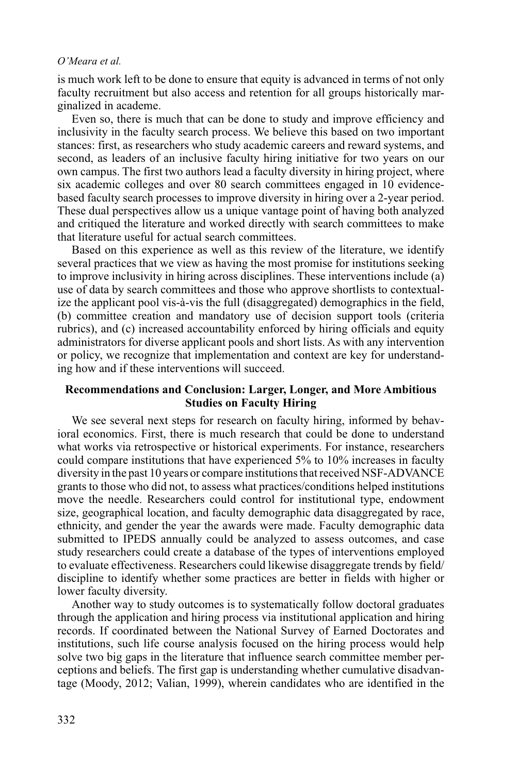is much work left to be done to ensure that equity is advanced in terms of not only faculty recruitment but also access and retention for all groups historically marginalized in academe.

Even so, there is much that can be done to study and improve efficiency and inclusivity in the faculty search process. We believe this based on two important stances: first, as researchers who study academic careers and reward systems, and second, as leaders of an inclusive faculty hiring initiative for two years on our own campus. The first two authors lead a faculty diversity in hiring project, where six academic colleges and over 80 search committees engaged in 10 evidencebased faculty search processes to improve diversity in hiring over a 2-year period. These dual perspectives allow us a unique vantage point of having both analyzed and critiqued the literature and worked directly with search committees to make that literature useful for actual search committees.

Based on this experience as well as this review of the literature, we identify several practices that we view as having the most promise for institutions seeking to improve inclusivity in hiring across disciplines. These interventions include (a) use of data by search committees and those who approve shortlists to contextualize the applicant pool vis-à-vis the full (disaggregated) demographics in the field, (b) committee creation and mandatory use of decision support tools (criteria rubrics), and (c) increased accountability enforced by hiring officials and equity administrators for diverse applicant pools and short lists. As with any intervention or policy, we recognize that implementation and context are key for understanding how and if these interventions will succeed.

# **Recommendations and Conclusion: Larger, Longer, and More Ambitious Studies on Faculty Hiring**

We see several next steps for research on faculty hiring, informed by behavioral economics. First, there is much research that could be done to understand what works via retrospective or historical experiments. For instance, researchers could compare institutions that have experienced 5% to 10% increases in faculty diversity in the past 10 years or compare institutions that received NSF-ADVANCE grants to those who did not, to assess what practices/conditions helped institutions move the needle. Researchers could control for institutional type, endowment size, geographical location, and faculty demographic data disaggregated by race, ethnicity, and gender the year the awards were made. Faculty demographic data submitted to IPEDS annually could be analyzed to assess outcomes, and case study researchers could create a database of the types of interventions employed to evaluate effectiveness. Researchers could likewise disaggregate trends by field/ discipline to identify whether some practices are better in fields with higher or lower faculty diversity.

Another way to study outcomes is to systematically follow doctoral graduates through the application and hiring process via institutional application and hiring records. If coordinated between the National Survey of Earned Doctorates and institutions, such life course analysis focused on the hiring process would help solve two big gaps in the literature that influence search committee member perceptions and beliefs. The first gap is understanding whether cumulative disadvantage (Moody, 2012; Valian, 1999), wherein candidates who are identified in the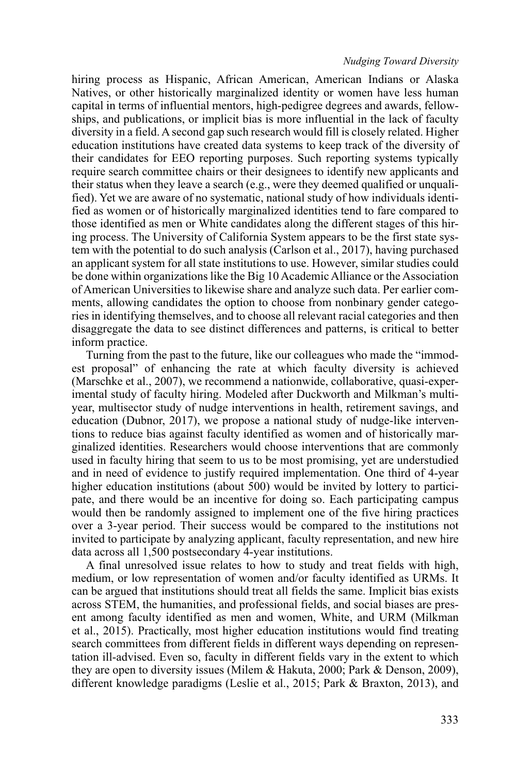hiring process as Hispanic, African American, American Indians or Alaska Natives, or other historically marginalized identity or women have less human capital in terms of influential mentors, high-pedigree degrees and awards, fellowships, and publications, or implicit bias is more influential in the lack of faculty diversity in a field. A second gap such research would fill is closely related. Higher education institutions have created data systems to keep track of the diversity of their candidates for EEO reporting purposes. Such reporting systems typically require search committee chairs or their designees to identify new applicants and their status when they leave a search (e.g., were they deemed qualified or unqualified). Yet we are aware of no systematic, national study of how individuals identified as women or of historically marginalized identities tend to fare compared to those identified as men or White candidates along the different stages of this hiring process. The University of California System appears to be the first state system with the potential to do such analysis (Carlson et al., 2017), having purchased an applicant system for all state institutions to use. However, similar studies could be done within organizations like the Big 10 Academic Alliance or the Association of American Universities to likewise share and analyze such data. Per earlier comments, allowing candidates the option to choose from nonbinary gender categories in identifying themselves, and to choose all relevant racial categories and then disaggregate the data to see distinct differences and patterns, is critical to better inform practice.

Turning from the past to the future, like our colleagues who made the "immodest proposal" of enhancing the rate at which faculty diversity is achieved (Marschke et al., 2007), we recommend a nationwide, collaborative, quasi-experimental study of faculty hiring. Modeled after Duckworth and Milkman's multiyear, multisector study of nudge interventions in health, retirement savings, and education (Dubnor, 2017), we propose a national study of nudge-like interventions to reduce bias against faculty identified as women and of historically marginalized identities. Researchers would choose interventions that are commonly used in faculty hiring that seem to us to be most promising, yet are understudied and in need of evidence to justify required implementation. One third of 4-year higher education institutions (about 500) would be invited by lottery to participate, and there would be an incentive for doing so. Each participating campus would then be randomly assigned to implement one of the five hiring practices over a 3-year period. Their success would be compared to the institutions not invited to participate by analyzing applicant, faculty representation, and new hire data across all 1,500 postsecondary 4-year institutions.

A final unresolved issue relates to how to study and treat fields with high, medium, or low representation of women and/or faculty identified as URMs. It can be argued that institutions should treat all fields the same. Implicit bias exists across STEM, the humanities, and professional fields, and social biases are present among faculty identified as men and women, White, and URM (Milkman et al., 2015). Practically, most higher education institutions would find treating search committees from different fields in different ways depending on representation ill-advised. Even so, faculty in different fields vary in the extent to which they are open to diversity issues (Milem & Hakuta, 2000; Park & Denson, 2009), different knowledge paradigms (Leslie et al., 2015; Park & Braxton, 2013), and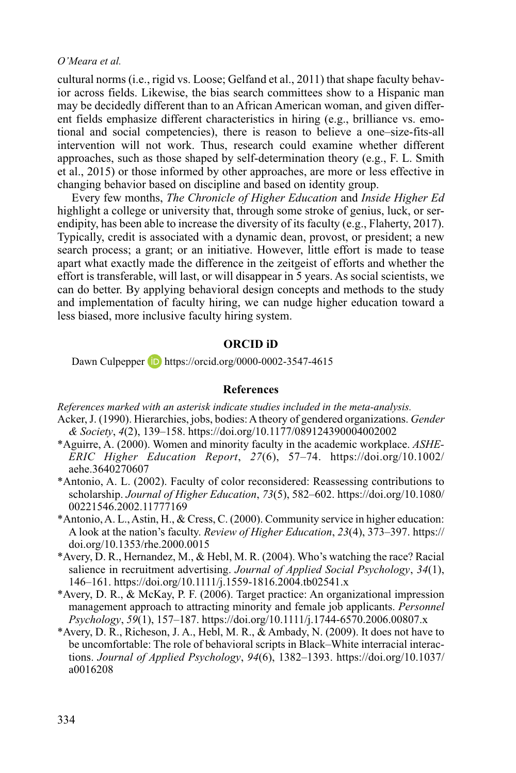cultural norms (i.e., rigid vs. Loose; Gelfand et al., 2011) that shape faculty behavior across fields. Likewise, the bias search committees show to a Hispanic man may be decidedly different than to an African American woman, and given different fields emphasize different characteristics in hiring (e.g., brilliance vs. emotional and social competencies), there is reason to believe a one–size-fits-all intervention will not work. Thus, research could examine whether different approaches, such as those shaped by self-determination theory (e.g., F. L. Smith et al., 2015) or those informed by other approaches, are more or less effective in changing behavior based on discipline and based on identity group.

Every few months, *The Chronicle of Higher Education* and *Inside Higher Ed* highlight a college or university that, through some stroke of genius, luck, or serendipity, has been able to increase the diversity of its faculty (e.g., Flaherty, 2017). Typically, credit is associated with a dynamic dean, provost, or president; a new search process; a grant; or an initiative. However, little effort is made to tease apart what exactly made the difference in the zeitgeist of efforts and whether the effort is transferable, will last, or will disappear in 5 years. As social scientists, we can do better. By applying behavioral design concepts and methods to the study and implementation of faculty hiring, we can nudge higher education toward a less biased, more inclusive faculty hiring system.

### **ORCID iD**

Dawn Culpepper **D** <https://orcid.org/0000-0002-3547-4615>

### **References**

*References marked with an asterisk indicate studies included in the meta-analysis.*

- Acker, J. (1990). Hierarchies, jobs, bodies: A theory of gendered organizations. *Gender & Society*, *4*(2), 139–158. <https://doi.org/10.1177/089124390004002002>
- \*Aguirre, A. (2000). Women and minority faculty in the academic workplace. *ASHE-ERIC Higher Education Report*, *27*(6), 57–74. [https://doi.org/10.1002/](https://doi.org/10.1002/aehe.3640270607) [aehe.3640270607](https://doi.org/10.1002/aehe.3640270607)
- \*Antonio, A. L. (2002). Faculty of color reconsidered: Reassessing contributions to scholarship. *Journal of Higher Education*, *73*(5), 582–602. [https://doi.org/10.1080/](https://doi.org/10.1080/00221546.2002.11777169) [00221546.2002.11777169](https://doi.org/10.1080/00221546.2002.11777169)
- \*Antonio, A. L., Astin, H., & Cress, C. (2000). Community service in higher education: A look at the nation's faculty. *Review of Higher Education*, *23*(4), 373–397. [https://](https://doi.org/10.1353/rhe.2000.0015) [doi.org/10.1353/rhe.2000.0015](https://doi.org/10.1353/rhe.2000.0015)
- \*Avery, D. R., Hernandez, M., & Hebl, M. R. (2004). Who's watching the race? Racial salience in recruitment advertising. *Journal of Applied Social Psychology*, *34*(1), 146–161.<https://doi.org/10.1111/j.1559-1816.2004.tb02541.x>
- \*Avery, D. R., & McKay, P. F. (2006). Target practice: An organizational impression management approach to attracting minority and female job applicants. *Personnel Psychology*, *59*(1), 157–187.<https://doi.org/10.1111/j.1744-6570.2006.00807.x>
- \*Avery, D. R., Richeson, J. A., Hebl, M. R., & Ambady, N. (2009). It does not have to be uncomfortable: The role of behavioral scripts in Black–White interracial interactions. *Journal of Applied Psychology*, *94*(6), 1382–1393. [https://doi.org/10.1037/](https://doi.org/10.1037/a0016208) [a0016208](https://doi.org/10.1037/a0016208)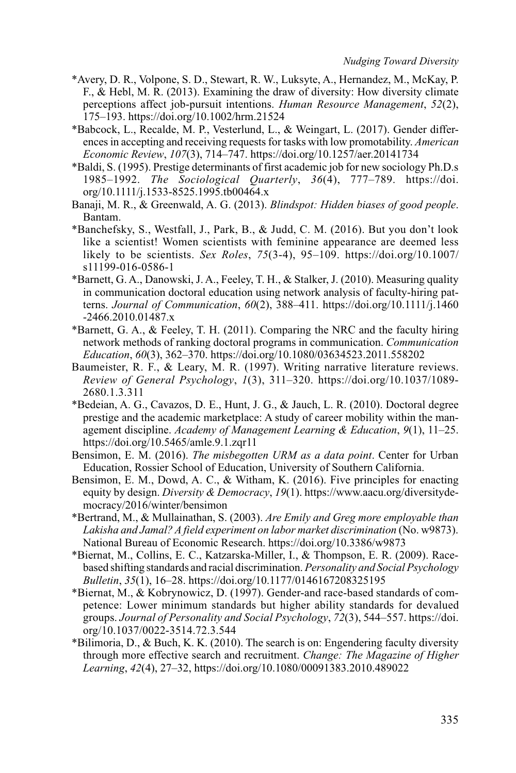- \*Avery, D. R., Volpone, S. D., Stewart, R. W., Luksyte, A., Hernandez, M., McKay, P. F., & Hebl, M. R. (2013). Examining the draw of diversity: How diversity climate perceptions affect job-pursuit intentions. *Human Resource Management*, *52*(2), 175–193.<https://doi.org/10.1002/hrm.21524>
- \*Babcock, L., Recalde, M. P., Vesterlund, L., & Weingart, L. (2017). Gender differences in accepting and receiving requests for tasks with low promotability. *American Economic Review*, *107*(3), 714–747. <https://doi.org/10.1257/aer.20141734>
- \*Baldi, S. (1995). Prestige determinants of first academic job for new sociology Ph.D.s 1985–1992. *The Sociological Quarterly*, *36*(4), 777–789. [https://doi.](https://doi.org/10.1111/j.1533-8525.1995.tb00464.x) [org/10.1111/j.1533-8525.1995.tb00464.x](https://doi.org/10.1111/j.1533-8525.1995.tb00464.x)
- Banaji, M. R., & Greenwald, A. G. (2013). *Blindspot: Hidden biases of good people*. Bantam.
- \*Banchefsky, S., Westfall, J., Park, B., & Judd, C. M. (2016). But you don't look like a scientist! Women scientists with feminine appearance are deemed less likely to be scientists. *Sex Roles*, *75*(3-4), 95–109. [https://doi.org/10.1007/](https://doi.org/10.1007/s11199-016-0586-1) [s11199-016-0586-1](https://doi.org/10.1007/s11199-016-0586-1)
- \*Barnett, G. A., Danowski, J. A., Feeley, T. H., & Stalker, J. (2010). Measuring quality in communication doctoral education using network analysis of faculty-hiring patterns. *Journal of Communication*, *60*(2), 388–411. [https://doi.org/10.1111/j.1460](https://doi.org/10.1111/j.1460-2466.2010.01487.x) [-2466.2010.01487.x](https://doi.org/10.1111/j.1460-2466.2010.01487.x)
- \*Barnett, G. A., & Feeley, T. H. (2011). Comparing the NRC and the faculty hiring network methods of ranking doctoral programs in communication. *Communication Education*, *60*(3), 362–370.<https://doi.org/10.1080/03634523.2011.558202>
- Baumeister, R. F., & Leary, M. R. (1997). Writing narrative literature reviews. *Review of General Psychology*, *1*(3), 311–320. [https://doi.org/10.1037/1089-](https://doi.org/10.1037/1089-2680.1.3.311) [2680.1.3.311](https://doi.org/10.1037/1089-2680.1.3.311)
- \*Bedeian, A. G., Cavazos, D. E., Hunt, J. G., & Jauch, L. R. (2010). Doctoral degree prestige and the academic marketplace: A study of career mobility within the management discipline. *Academy of Management Learning & Education*, *9*(1), 11–25. <https://doi.org/10.5465/amle.9.1.zqr11>
- Bensimon, E. M. (2016). *The misbegotten URM as a data point*. Center for Urban Education, Rossier School of Education, University of Southern California.
- Bensimon, E. M., Dowd, A. C., & Witham, K. (2016). Five principles for enacting equity by design. *Diversity & Democracy*, *19*(1). [https://www.aacu.org/diversityde](https://www.aacu.org/diversitydemocracy/2016/winter/bensimon)[mocracy/2016/winter/bensimon](https://www.aacu.org/diversitydemocracy/2016/winter/bensimon)
- \*Bertrand, M., & Mullainathan, S. (2003). *Are Emily and Greg more employable than Lakisha and Jamal? A field experiment on labor market discrimination* (No. w9873). National Bureau of Economic Research. <https://doi.org/10.3386/w9873>
- \*Biernat, M., Collins, E. C., Katzarska-Miller, I., & Thompson, E. R. (2009). Racebased shifting standards and racial discrimination. *Personality and Social Psychology Bulletin*, *35*(1), 16–28. <https://doi.org/10.1177/0146167208325195>
- \*Biernat, M., & Kobrynowicz, D. (1997). Gender-and race-based standards of competence: Lower minimum standards but higher ability standards for devalued groups. *Journal of Personality and Social Psychology*, *72*(3), 544–557. [https://doi.](https://doi.org/10.1037/0022-3514.72.3.544) [org/10.1037/0022-3514.72.3.544](https://doi.org/10.1037/0022-3514.72.3.544)
- \*Bilimoria, D., & Buch, K. K. (2010). The search is on: Engendering faculty diversity through more effective search and recruitment. *Change: The Magazine of Higher Learning*, *42*(4), 27–32, <https://doi.org/10.1080/00091383.2010.489022>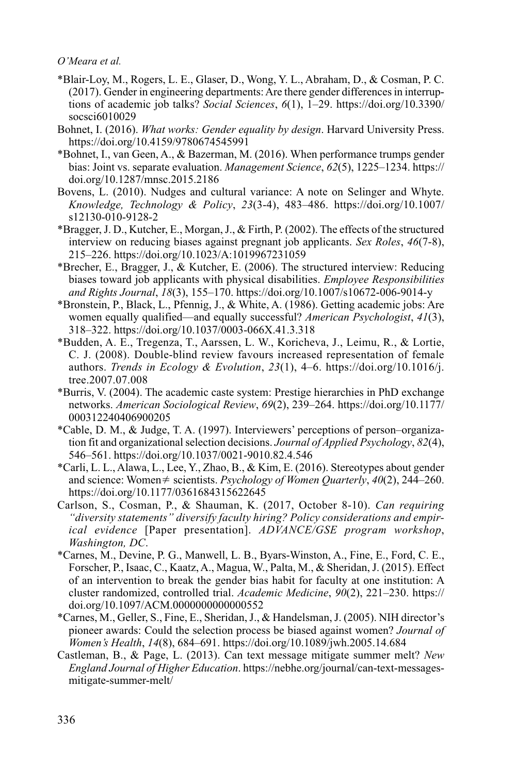- \*Blair-Loy, M., Rogers, L. E., Glaser, D., Wong, Y. L., Abraham, D., & Cosman, P. C. (2017). Gender in engineering departments: Are there gender differences in interruptions of academic job talks? *Social Sciences*, *6*(1), 1–29. [https://doi.org/10.3390/](https://doi.org/10.3390/socsci6010029) [socsci6010029](https://doi.org/10.3390/socsci6010029)
- Bohnet, I. (2016). *What works: Gender equality by design*. Harvard University Press. <https://doi.org/10.4159/9780674545991>
- \*Bohnet, I., van Geen, A., & Bazerman, M. (2016). When performance trumps gender bias: Joint vs. separate evaluation. *Management Science*, *62*(5), 1225–1234. [https://](https://doi.org/10.1287/mnsc.2015.2186) [doi.org/10.1287/mnsc.2015.2186](https://doi.org/10.1287/mnsc.2015.2186)
- Bovens, L. (2010). Nudges and cultural variance: A note on Selinger and Whyte. *Knowledge, Technology & Policy*, *23*(3-4), 483–486. [https://doi.org/10.1007/](https://doi.org/10.1007/s12130-010-9128-2) [s12130-010-9128-2](https://doi.org/10.1007/s12130-010-9128-2)
- \*Bragger, J. D., Kutcher, E., Morgan, J., & Firth, P. (2002). The effects of the structured interview on reducing biases against pregnant job applicants. *Sex Roles*, *46*(7-8), 215–226.<https://doi.org/10.1023/A:1019967231059>
- \*Brecher, E., Bragger, J., & Kutcher, E. (2006). The structured interview: Reducing biases toward job applicants with physical disabilities. *Employee Responsibilities and Rights Journal*, *18*(3), 155–170. <https://doi.org/10.1007/s10672-006-9014-y>
- \*Bronstein, P., Black, L., Pfennig, J., & White, A. (1986). Getting academic jobs: Are women equally qualified—and equally successful? *American Psychologist*, *41*(3), 318–322.<https://doi.org/10.1037/0003-066X.41.3.318>
- \*Budden, A. E., Tregenza, T., Aarssen, L. W., Koricheva, J., Leimu, R., & Lortie, C. J. (2008). Double-blind review favours increased representation of female authors. *Trends in Ecology & Evolution*, *23*(1), 4–6. [https://doi.org/10.1016/j.](https://doi.org/10.1016/j.tree.2007.07.008) [tree.2007.07.008](https://doi.org/10.1016/j.tree.2007.07.008)
- \*Burris, V. (2004). The academic caste system: Prestige hierarchies in PhD exchange networks. *American Sociological Review*, *69*(2), 239–264. [https://doi.org/10.1177/](https://doi.org/10.1177/000312240406900205) [000312240406900205](https://doi.org/10.1177/000312240406900205)
- \*Cable, D. M., & Judge, T. A. (1997). Interviewers' perceptions of person–organization fit and organizational selection decisions. *Journal of Applied Psychology*, *82*(4), 546–561.<https://doi.org/10.1037/0021-9010.82.4.546>
- \*Carli, L. L., Alawa, L., Lee, Y., Zhao, B., & Kim, E. (2016). Stereotypes about gender and science: Women≠ scientists. *Psychology of Women Quarterly*, *40*(2), 244–260. <https://doi.org/10.1177/0361684315622645>
- Carlson, S., Cosman, P., & Shauman, K. (2017, October 8-10). *Can requiring "diversity statements" diversify faculty hiring? Policy considerations and empirical evidence* [Paper presentation]. *ADVANCE/GSE program workshop*, *Washington, DC*.
- \*Carnes, M., Devine, P. G., Manwell, L. B., Byars-Winston, A., Fine, E., Ford, C. E., Forscher, P., Isaac, C., Kaatz, A., Magua, W., Palta, M., & Sheridan, J. (2015). Effect of an intervention to break the gender bias habit for faculty at one institution: A cluster randomized, controlled trial. *Academic Medicine*, *90*(2), 221–230. [https://](https://doi.org/10.1097/ACM.0000000000000552) [doi.org/10.1097/ACM.0000000000000552](https://doi.org/10.1097/ACM.0000000000000552)
- \*Carnes, M., Geller, S., Fine, E., Sheridan, J., & Handelsman, J. (2005). NIH director's pioneer awards: Could the selection process be biased against women? *Journal of Women's Health*, *14*(8), 684–691. <https://doi.org/10.1089/jwh.2005.14.684>
- Castleman, B., & Page, L. (2013). Can text message mitigate summer melt? *New England Journal of Higher Education*. [https://nebhe.org/journal/can-text-messages](https://nebhe.org/journal/can-text-messages-mitigate-summer-melt/)[mitigate-summer-melt/](https://nebhe.org/journal/can-text-messages-mitigate-summer-melt/)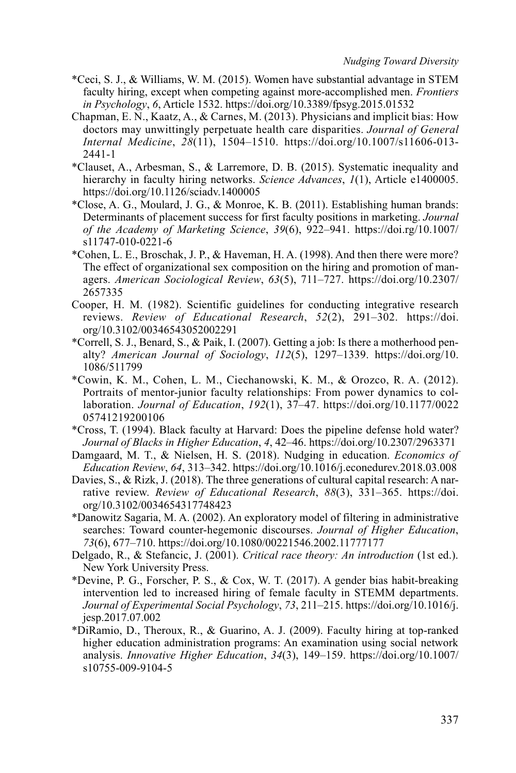- \*Ceci, S. J., & Williams, W. M. (2015). Women have substantial advantage in STEM faculty hiring, except when competing against more-accomplished men. *Frontiers in Psychology*, *6*, Article 1532. <https://doi.org/10.3389/fpsyg.2015.01532>
- Chapman, E. N., Kaatz, A., & Carnes, M. (2013). Physicians and implicit bias: How doctors may unwittingly perpetuate health care disparities. *Journal of General Internal Medicine*, *28*(11), 1504–1510. [https://doi.org/10.1007/s11606-013-](https://doi.org/10.1007/s11606-013-2441-1) [2441-1](https://doi.org/10.1007/s11606-013-2441-1)
- \*Clauset, A., Arbesman, S., & Larremore, D. B. (2015). Systematic inequality and hierarchy in faculty hiring networks. *Science Advances*, *1*(1), Article e1400005. <https://doi.org/10.1126/sciadv.1400005>
- \*Close, A. G., Moulard, J. G., & Monroe, K. B. (2011). Establishing human brands: Determinants of placement success for first faculty positions in marketing. *Journal of the Academy of Marketing Science*, *39*(6), 922–941. [https://doi.rg/10.1007/](https://doi.rg/10.1007/s11747-010-0221-6) [s11747-010-0221-6](https://doi.rg/10.1007/s11747-010-0221-6)
- \*Cohen, L. E., Broschak, J. P., & Haveman, H. A. (1998). And then there were more? The effect of organizational sex composition on the hiring and promotion of managers. *American Sociological Review*, *63*(5), 711–727. [https://doi.org/10.2307/](https://doi.org/10.2307/2657335) [2657335](https://doi.org/10.2307/2657335)
- Cooper, H. M. (1982). Scientific guidelines for conducting integrative research reviews. *Review of Educational Research*, *52*(2), 291–302. [https://doi.](https://doi.org/10.3102/00346543052002291) [org/10.3102/00346543052002291](https://doi.org/10.3102/00346543052002291)
- \*Correll, S. J., Benard, S., & Paik, I. (2007). Getting a job: Is there a motherhood penalty? *American Journal of Sociology*, *112*(5), 1297–1339. [https://doi.org/10.](https://doi.org/10.1086/511799) [1086/511799](https://doi.org/10.1086/511799)
- \*Cowin, K. M., Cohen, L. M., Ciechanowski, K. M., & Orozco, R. A. (2012). Portraits of mentor-junior faculty relationships: From power dynamics to collaboration. *Journal of Education*, *192*(1), 37–47. [https://doi.org/10.1177/0022](https://doi.org/10.1177/002205741219200106) [05741219200106](https://doi.org/10.1177/002205741219200106)
- \*Cross, T. (1994). Black faculty at Harvard: Does the pipeline defense hold water? *Journal of Blacks in Higher Education*, *4*, 42–46. <https://doi.org/10.2307/2963371>
- Damgaard, M. T., & Nielsen, H. S. (2018). Nudging in education. *Economics of Education Review*, *64*, 313–342. <https://doi.org/10.1016/j.econedurev.2018.03.008>
- Davies, S., & Rizk, J. (2018). The three generations of cultural capital research: A narrative review. *Review of Educational Research*, *88*(3), 331–365. [https://doi.](https://doi.org/10.3102/0034654317748423) [org/10.3102/0034654317748423](https://doi.org/10.3102/0034654317748423)
- \*Danowitz Sagaria, M. A. (2002). An exploratory model of filtering in administrative searches: Toward counter-hegemonic discourses. *Journal of Higher Education*, *73*(6), 677–710. <https://doi.org/10.1080/00221546.2002.11777177>
- Delgado, R., & Stefancic, J. (2001). *Critical race theory: An introduction* (1st ed.). New York University Press.
- \*Devine, P. G., Forscher, P. S., & Cox, W. T. (2017). A gender bias habit-breaking intervention led to increased hiring of female faculty in STEMM departments. *Journal of Experimental Social Psychology*, *73*, 211–215. [https://doi.org/10.1016/j.](https://doi.org/10.1016/j.jesp.2017.07.002) [jesp.2017.07.002](https://doi.org/10.1016/j.jesp.2017.07.002)
- \*DiRamio, D., Theroux, R., & Guarino, A. J. (2009). Faculty hiring at top-ranked higher education administration programs: An examination using social network analysis. *Innovative Higher Education*, *34*(3), 149–159. [https://doi.org/10.1007/](https://doi.org/10.1007/s10755-009-9104-5) [s10755-009-9104-5](https://doi.org/10.1007/s10755-009-9104-5)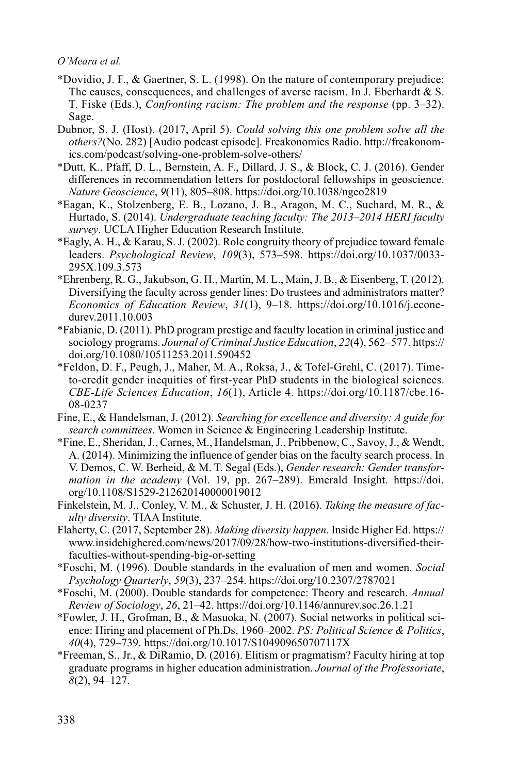- \*Dovidio, J. F., & Gaertner, S. L. (1998). On the nature of contemporary prejudice: The causes, consequences, and challenges of averse racism. In J. Eberhardt & S. T. Fiske (Eds.), *Confronting racism: The problem and the response* (pp. 3–32). Sage.
- Dubnor, S. J. (Host). (2017, April 5). *Could solving this one problem solve all the others?*(No. 282) [Audio podcast episode]. Freakonomics Radio. [http://freakonom](http://freakonomics.com/podcast/solving-one-problem-solve-others/)[ics.com/podcast/solving-one-problem-solve-others/](http://freakonomics.com/podcast/solving-one-problem-solve-others/)
- \*Dutt, K., Pfaff, D. L., Bernstein, A. F., Dillard, J. S., & Block, C. J. (2016). Gender differences in recommendation letters for postdoctoral fellowships in geoscience. *Nature Geoscience*, *9*(11), 805–808.<https://doi.org/10.1038/ngeo2819>
- \*Eagan, K., Stolzenberg, E. B., Lozano, J. B., Aragon, M. C., Suchard, M. R., & Hurtado, S. (2014). *Undergraduate teaching faculty: The 2013–2014 HERI faculty survey*. UCLA Higher Education Research Institute.
- \*Eagly, A. H., & Karau, S. J. (2002). Role congruity theory of prejudice toward female leaders. *Psychological Review*, *109*(3), 573–598. [https://doi.org/10.1037/0033-](https://doi.org/10.1037/0033-295X.109.3.573) [295X.109.3.573](https://doi.org/10.1037/0033-295X.109.3.573)
- \*Ehrenberg, R. G., Jakubson, G. H., Martin, M. L., Main, J. B., & Eisenberg, T. (2012). Diversifying the faculty across gender lines: Do trustees and administrators matter? *Economics of Education Review*, *31*(1), 9–18. [https://doi.org/10.1016/j.econe](https://doi.org/10.1016/j.econedurev.2011.10.003)[durev.2011.10.003](https://doi.org/10.1016/j.econedurev.2011.10.003)
- \*Fabianic, D. (2011). PhD program prestige and faculty location in criminal justice and sociology programs. *Journal of Criminal Justice Education*, *22*(4), 562–577. [https://](https://doi.org/10.1080/10511253.2011.590452) [doi.org/10.1080/10511253.2011.590452](https://doi.org/10.1080/10511253.2011.590452)
- \*Feldon, D. F., Peugh, J., Maher, M. A., Roksa, J., & Tofel-Grehl, C. (2017). Timeto-credit gender inequities of first-year PhD students in the biological sciences. *CBE-Life Sciences Education*, *16*(1), Article 4. [https://doi.org/10.1187/cbe.16-](https://doi.org/10.1187/cbe.16-08-0237) [08-0237](https://doi.org/10.1187/cbe.16-08-0237)
- Fine, E., & Handelsman, J. (2012). *Searching for excellence and diversity: A guide for search committees*. Women in Science & Engineering Leadership Institute.
- \*Fine, E., Sheridan, J., Carnes, M., Handelsman, J., Pribbenow, C., Savoy, J., & Wendt, A. (2014). Minimizing the influence of gender bias on the faculty search process. In V. Demos, C. W. Berheid, & M. T. Segal (Eds.), *Gender research: Gender transformation in the academy* (Vol. 19, pp. 267–289). Emerald Insight. [https://doi.](https://doi.org/10.1108/S1529-212620140000019012) [org/10.1108/S1529-212620140000019012](https://doi.org/10.1108/S1529-212620140000019012)
- Finkelstein, M. J., Conley, V. M., & Schuster, J. H. (2016). *Taking the measure of faculty diversity*. TIAA Institute.
- Flaherty, C. (2017, September 28). *Making diversity happen*. Inside Higher Ed. [https://](https://www.insidehighered.com/news/2017/09/28/how-two-institutions-diversified-their-faculties-without-spending-big-or-setting) [www.insidehighered.com/news/2017/09/28/how-two-institutions-diversified-their](https://www.insidehighered.com/news/2017/09/28/how-two-institutions-diversified-their-faculties-without-spending-big-or-setting)[faculties-without-spending-big-or-setting](https://www.insidehighered.com/news/2017/09/28/how-two-institutions-diversified-their-faculties-without-spending-big-or-setting)
- \*Foschi, M. (1996). Double standards in the evaluation of men and women. *Social Psychology Quarterly*, *59*(3), 237–254. <https://doi.org/10.2307/2787021>
- \*Foschi, M. (2000). Double standards for competence: Theory and research. *Annual Review of Sociology*, *26*, 21–42.<https://doi.org/10.1146/annurev.soc.26.1.21>
- \*Fowler, J. H., Grofman, B., & Masuoka, N. (2007). Social networks in political science: Hiring and placement of Ph.Ds, 1960–2002. *PS: Political Science & Politics*, *40*(4), 729–739. <https://doi.org/10.1017/S104909650707117X>
- \*Freeman, S., Jr., & DiRamio, D. (2016). Elitism or pragmatism? Faculty hiring at top graduate programs in higher education administration. *Journal of the Professoriate*, *8*(2), 94–127.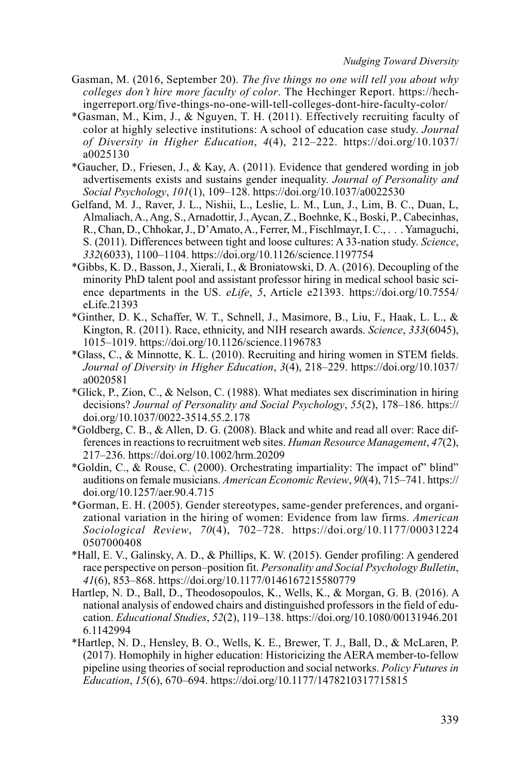- Gasman, M. (2016, September 20). *The five things no one will tell you about why colleges don't hire more faculty of color*. The Hechinger Report. [https://hech](https://hechingerreport.org/five-things-no-one-will-tell-colleges-dont-hire-faculty-color/)[ingerreport.org/five-things-no-one-will-tell-colleges-dont-hire-faculty-color/](https://hechingerreport.org/five-things-no-one-will-tell-colleges-dont-hire-faculty-color/)
- \*Gasman, M., Kim, J., & Nguyen, T. H. (2011). Effectively recruiting faculty of color at highly selective institutions: A school of education case study. *Journal of Diversity in Higher Education*, *4*(4), 212–222. [https://doi.org/10.1037/](https://doi.org/10.1037/a0025130) [a0025130](https://doi.org/10.1037/a0025130)
- \*Gaucher, D., Friesen, J., & Kay, A. (2011). Evidence that gendered wording in job advertisements exists and sustains gender inequality. *Journal of Personality and Social Psychology*, *101*(1), 109–128. <https://doi.org/10.1037/a0022530>
- Gelfand, M. J., Raver, J. L., Nishii, L., Leslie, L. M., Lun, J., Lim, B. C., Duan, L, Almaliach, A., Ang, S., Arnadottir, J., Aycan, Z., Boehnke, K., Boski, P., Cabecinhas, R., Chan, D., Chhokar, J., D'Amato, A., Ferrer, M., Fischlmayr, I. C., . . . Yamaguchi, S. (2011). Differences between tight and loose cultures: A 33-nation study. *Science*, *332*(6033), 1100–1104.<https://doi.org/10.1126/science.1197754>
- \*Gibbs, K. D., Basson, J., Xierali, I., & Broniatowski, D. A. (2016). Decoupling of the minority PhD talent pool and assistant professor hiring in medical school basic science departments in the US. *eLife*, *5*, Article e21393. [https://doi.org/10.7554/](https://doi.org/10.7554/eLife.21393) [eLife.21393](https://doi.org/10.7554/eLife.21393)
- \*Ginther, D. K., Schaffer, W. T., Schnell, J., Masimore, B., Liu, F., Haak, L. L., & Kington, R. (2011). Race, ethnicity, and NIH research awards. *Science*, *333*(6045), 1015–1019.<https://doi.org/10.1126/science.1196783>
- \*Glass, C., & Minnotte, K. L. (2010). Recruiting and hiring women in STEM fields. *Journal of Diversity in Higher Education*, *3*(4), 218–229. [https://doi.org/10.1037/](https://doi.org/10.1037/a0020581) [a0020581](https://doi.org/10.1037/a0020581)
- \*Glick, P., Zion, C., & Nelson, C. (1988). What mediates sex discrimination in hiring decisions? *Journal of Personality and Social Psychology*, *55*(2), 178–186. [https://](https://doi.org/10.1037/0022-3514.55.2.178) [doi.org/10.1037/0022-3514.55.2.178](https://doi.org/10.1037/0022-3514.55.2.178)
- \*Goldberg, C. B., & Allen, D. G. (2008). Black and white and read all over: Race differences in reactions to recruitment web sites. *Human Resource Management*, *47*(2), 217–236.<https://doi.org/10.1002/hrm.20209>
- \*Goldin, C., & Rouse, C. (2000). Orchestrating impartiality: The impact of" blind" auditions on female musicians. *American Economic Review*, *90*(4), 715–741. [https://](https://doi.org/10.1257/aer.90.4.715) [doi.org/10.1257/aer.90.4.715](https://doi.org/10.1257/aer.90.4.715)
- \*Gorman, E. H. (2005). Gender stereotypes, same-gender preferences, and organizational variation in the hiring of women: Evidence from law firms. *American Sociological Review*, *70*(4), 702–728. [https://doi.org/10.1177/00031224](https://doi.org/10.1177/000312240507000408) [0507000408](https://doi.org/10.1177/000312240507000408)
- \*Hall, E. V., Galinsky, A. D., & Phillips, K. W. (2015). Gender profiling: A gendered race perspective on person–position fit. *Personality and Social Psychology Bulletin*, *41*(6), 853–868. <https://doi.org/10.1177/0146167215580779>
- Hartlep, N. D., Ball, D., Theodosopoulos, K., Wells, K., & Morgan, G. B. (2016). A national analysis of endowed chairs and distinguished professors in the field of education. *Educational Studies*, *52*(2), 119–138. [https://doi.org/10.1080/00131946.201](https://doi.org/10.1080/00131946.2016.1142994) [6.1142994](https://doi.org/10.1080/00131946.2016.1142994)
- \*Hartlep, N. D., Hensley, B. O., Wells, K. E., Brewer, T. J., Ball, D., & McLaren, P. (2017). Homophily in higher education: Historicizing the AERA member-to-fellow pipeline using theories of social reproduction and social networks. *Policy Futures in Education*, *15*(6), 670–694.<https://doi.org/10.1177/1478210317715815>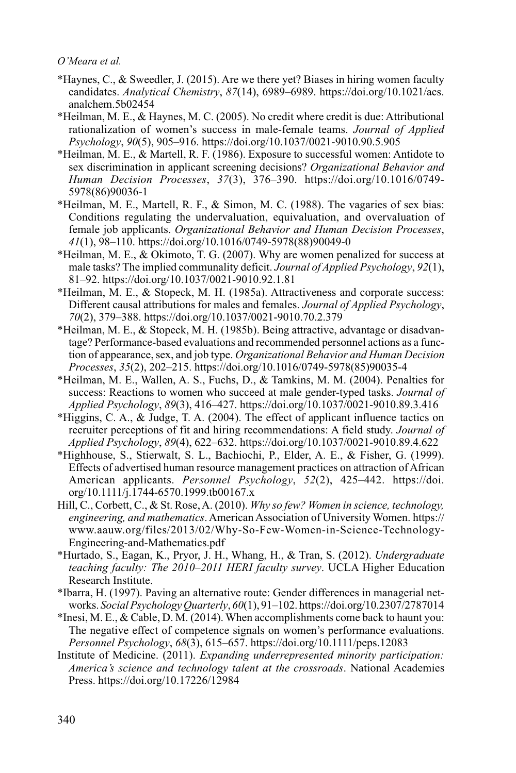- \*Haynes, C., & Sweedler, J. (2015). Are we there yet? Biases in hiring women faculty candidates. *Analytical Chemistry*, *87*(14), 6989–6989. [https://doi.org/10.1021/acs.](https://doi.org/10.1021/acs.analchem.5b02454) [analchem.5b02454](https://doi.org/10.1021/acs.analchem.5b02454)
- \*Heilman, M. E., & Haynes, M. C. (2005). No credit where credit is due: Attributional rationalization of women's success in male-female teams. *Journal of Applied Psychology*, *90*(5), 905–916.<https://doi.org/10.1037/0021-9010.90.5.905>
- \*Heilman, M. E., & Martell, R. F. (1986). Exposure to successful women: Antidote to sex discrimination in applicant screening decisions? *Organizational Behavior and Human Decision Processes*, *37*(3), 376–390. [https://doi.org/10.1016/0749-](https://doi.org/10.1016/0749-5978(86)90036-1) [5978\(86\)90036-1](https://doi.org/10.1016/0749-5978(86)90036-1)
- \*Heilman, M. E., Martell, R. F., & Simon, M. C. (1988). The vagaries of sex bias: Conditions regulating the undervaluation, equivaluation, and overvaluation of female job applicants. *Organizational Behavior and Human Decision Processes*, *41*(1), 98–110. [https://doi.org/10.1016/0749-5978\(88\)90049-0](https://doi.org/10.1016/0749-5978(88)90049-0)
- \*Heilman, M. E., & Okimoto, T. G. (2007). Why are women penalized for success at male tasks? The implied communality deficit. *Journal of Applied Psychology*, *92*(1), 81–92. <https://doi.org/10.1037/0021-9010.92.1.81>
- \*Heilman, M. E., & Stopeck, M. H. (1985a). Attractiveness and corporate success: Different causal attributions for males and females. *Journal of Applied Psychology*, *70*(2), 379–388. <https://doi.org/10.1037/0021-9010.70.2.379>
- \*Heilman, M. E., & Stopeck, M. H. (1985b). Being attractive, advantage or disadvantage? Performance-based evaluations and recommended personnel actions as a function of appearance, sex, and job type. *Organizational Behavior and Human Decision Processes*, *35*(2), 202–215. [https://doi.org/10.1016/0749-5978\(85\)90035-4](https://doi.org/10.1016/0749-5978(85)90035-4)
- \*Heilman, M. E., Wallen, A. S., Fuchs, D., & Tamkins, M. M. (2004). Penalties for success: Reactions to women who succeed at male gender-typed tasks. *Journal of Applied Psychology*, *89*(3), 416–427. <https://doi.org/10.1037/0021-9010.89.3.416>
- \*Higgins, C. A., & Judge, T. A. (2004). The effect of applicant influence tactics on recruiter perceptions of fit and hiring recommendations: A field study. *Journal of Applied Psychology*, *89*(4), 622–632. <https://doi.org/10.1037/0021-9010.89.4.622>
- \*Highhouse, S., Stierwalt, S. L., Bachiochi, P., Elder, A. E., & Fisher, G. (1999). Effects of advertised human resource management practices on attraction of African American applicants. *Personnel Psychology*, *52*(2), 425–442. [https://doi.](https://doi.org/10.1111/j.1744-6570.1999.tb00167.x) [org/10.1111/j.1744-6570.1999.tb00167.x](https://doi.org/10.1111/j.1744-6570.1999.tb00167.x)
- Hill, C., Corbett, C., & St. Rose, A. (2010). *Why so few? Women in science, technology, engineering, and mathematics*. American Association of University Women. [https://](https://www.aauw.org/files/2013/02/Why-So-Few-Women-in-Science-Technology-Engineering-and-Mathematics.pdf) [www.aauw.org/files/2013/02/Why-So-Few-Women-in-Science-Technology-](https://www.aauw.org/files/2013/02/Why-So-Few-Women-in-Science-Technology-Engineering-and-Mathematics.pdf)[Engineering-and-Mathematics.pdf](https://www.aauw.org/files/2013/02/Why-So-Few-Women-in-Science-Technology-Engineering-and-Mathematics.pdf)
- \*Hurtado, S., Eagan, K., Pryor, J. H., Whang, H., & Tran, S. (2012). *Undergraduate teaching faculty: The 2010–2011 HERI faculty survey*. UCLA Higher Education Research Institute.
- \*Ibarra, H. (1997). Paving an alternative route: Gender differences in managerial networks. *Social Psychology Quarterly*, *60*(1), 91–102.<https://doi.org/10.2307/2787014>
- \*Inesi, M. E., & Cable, D. M. (2014). When accomplishments come back to haunt you: The negative effect of competence signals on women's performance evaluations. *Personnel Psychology*, *68*(3), 615–657. <https://doi.org/10.1111/peps.12083>
- Institute of Medicine. (2011). *Expanding underrepresented minority participation: America's science and technology talent at the crossroads*. National Academies Press.<https://doi.org/10.17226/12984>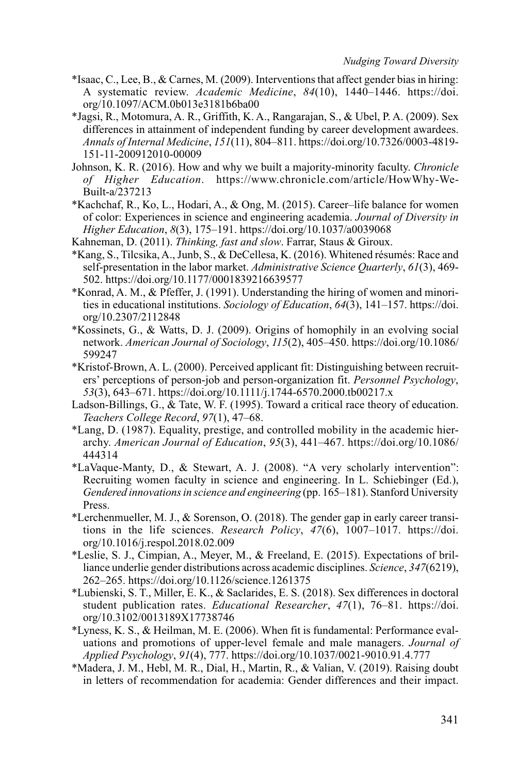- \*Isaac, C., Lee, B., & Carnes, M. (2009). Interventions that affect gender bias in hiring: A systematic review. *Academic Medicine*, *84*(10), 1440–1446. [https://doi.](https://doi.org/10.1097/ACM.0b013e3181b6ba00) [org/10.1097/ACM.0b013e3181b6ba00](https://doi.org/10.1097/ACM.0b013e3181b6ba00)
- \*Jagsi, R., Motomura, A. R., Griffith, K. A., Rangarajan, S., & Ubel, P. A. (2009). Sex differences in attainment of independent funding by career development awardees. *Annals of Internal Medicine*, *151*(11), 804–811. [https://doi.org/10.7326/0003-4819-](https://doi.org/10.7326/0003-4819-151-11-200912010-00009) [151-11-200912010-00009](https://doi.org/10.7326/0003-4819-151-11-200912010-00009)
- Johnson, K. R. (2016). How and why we built a majority-minority faculty. *Chronicle of Higher Education*. [https://www.chronicle.com/article/HowWhy-We-](https://www.chronicle.com/article/HowWhy-We-Built-a/237213)[Built-a/237213](https://www.chronicle.com/article/HowWhy-We-Built-a/237213)
- \*Kachchaf, R., Ko, L., Hodari, A., & Ong, M. (2015). Career–life balance for women of color: Experiences in science and engineering academia. *Journal of Diversity in Higher Education*, *8*(3), 175–191. <https://doi.org/10.1037/a0039068>
- Kahneman, D. (2011). *Thinking, fast and slow*. Farrar, Staus & Giroux.
- \*Kang, S., Tilcsika, A., Junb, S., & DeCellesa, K. (2016). Whitened résumés: Race and self-presentation in the labor market. *Administrative Science Quarterly*, *61*(3), 469- 502.<https://doi.org/10.1177/0001839216639577>
- \*Konrad, A. M., & Pfeffer, J. (1991). Understanding the hiring of women and minorities in educational institutions. *Sociology of Education*, *64*(3), 141–157. [https://doi.](https://doi.org/10.2307/2112848) [org/10.2307/2112848](https://doi.org/10.2307/2112848)
- \*Kossinets, G., & Watts, D. J. (2009). Origins of homophily in an evolving social network. *American Journal of Sociology*, *115*(2), 405–450. [https://doi.org/10.1086/](https://doi.org/10.1086/599247) [599247](https://doi.org/10.1086/599247)
- \*Kristof-Brown, A. L. (2000). Perceived applicant fit: Distinguishing between recruiters' perceptions of person-job and person-organization fit. *Personnel Psychology*, *53*(3), 643–671. <https://doi.org/10.1111/j.1744-6570.2000.tb00217.x>
- Ladson-Billings, G., & Tate, W. F. (1995). Toward a critical race theory of education. *Teachers College Record*, *97*(1), 47–68.
- \*Lang, D. (1987). Equality, prestige, and controlled mobility in the academic hierarchy. *American Journal of Education*, *95*(3), 441–467. [https://doi.org/10.1086/](https://doi.org/10.1086/444314) [444314](https://doi.org/10.1086/444314)
- \*LaVaque-Manty, D., & Stewart, A. J. (2008). "A very scholarly intervention": Recruiting women faculty in science and engineering. In L. Schiebinger (Ed.), *Gendered innovations in science and engineering* (pp. 165–181). Stanford University Press.
- \*Lerchenmueller, M. J., & Sorenson, O. (2018). The gender gap in early career transitions in the life sciences. *Research Policy*, *47*(6), 1007–1017. [https://doi.](https://doi.org/10.1016/j.respol.2018.02.009) [org/10.1016/j.respol.2018.02.009](https://doi.org/10.1016/j.respol.2018.02.009)
- \*Leslie, S. J., Cimpian, A., Meyer, M., & Freeland, E. (2015). Expectations of brilliance underlie gender distributions across academic disciplines. *Science*, *347*(6219), 262–265.<https://doi.org/10.1126/science.1261375>
- \*Lubienski, S. T., Miller, E. K., & Saclarides, E. S. (2018). Sex differences in doctoral student publication rates. *Educational Researcher*, *47*(1), 76–81. [https://doi.](https://doi.org/10.3102/0013189X17738746) [org/10.3102/0013189X17738746](https://doi.org/10.3102/0013189X17738746)
- \*Lyness, K. S., & Heilman, M. E. (2006). When fit is fundamental: Performance evaluations and promotions of upper-level female and male managers. *Journal of Applied Psychology*, *91*(4), 777. <https://doi.org/10.1037/0021-9010.91.4.777>
- \*Madera, J. M., Hebl, M. R., Dial, H., Martin, R., & Valian, V. (2019). Raising doubt in letters of recommendation for academia: Gender differences and their impact.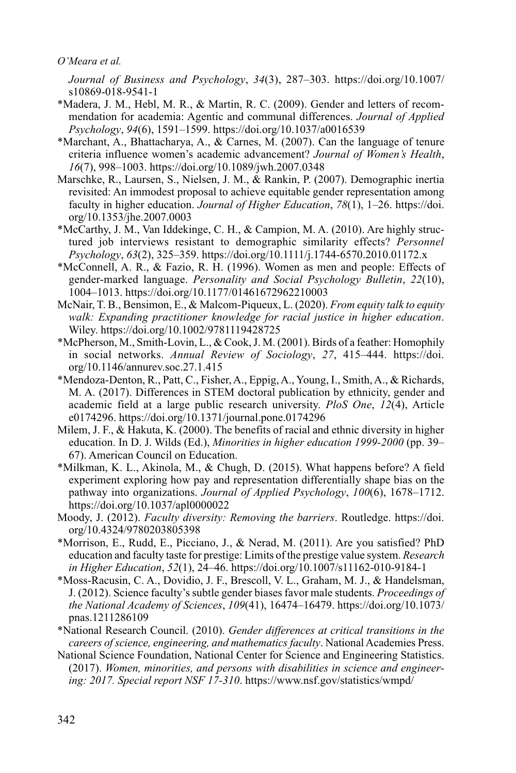*Journal of Business and Psychology*, *34*(3), 287–303. [https://doi.org/10.1007/](https://doi.org/10.1007/s10869-018-9541-1) [s10869-018-9541-1](https://doi.org/10.1007/s10869-018-9541-1)

- \*Madera, J. M., Hebl, M. R., & Martin, R. C. (2009). Gender and letters of recommendation for academia: Agentic and communal differences. *Journal of Applied Psychology*, *94*(6), 1591–1599. <https://doi.org/10.1037/a0016539>
- \*Marchant, A., Bhattacharya, A., & Carnes, M. (2007). Can the language of tenure criteria influence women's academic advancement? *Journal of Women's Health*, *16*(7), 998–1003.<https://doi.org/10.1089/jwh.2007.0348>
- Marschke, R., Laursen, S., Nielsen, J. M., & Rankin, P. (2007). Demographic inertia revisited: An immodest proposal to achieve equitable gender representation among faculty in higher education. *Journal of Higher Education*, *78*(1), 1–26. [https://doi.](https://doi.org/10.1353/jhe.2007.0003) [org/10.1353/jhe.2007.0003](https://doi.org/10.1353/jhe.2007.0003)
- \*McCarthy, J. M., Van Iddekinge, C. H., & Campion, M. A. (2010). Are highly structured job interviews resistant to demographic similarity effects? *Personnel Psychology*, *63*(2), 325–359.<https://doi.org/10.1111/j.1744-6570.2010.01172.x>
- \*McConnell, A. R., & Fazio, R. H. (1996). Women as men and people: Effects of gender-marked language. *Personality and Social Psychology Bulletin*, *22*(10), 1004–1013. <https://doi.org/10.1177/01461672962210003>
- McNair, T. B., Bensimon, E., & Malcom-Piqueux, L. (2020). *From equity talk to equity walk: Expanding practitioner knowledge for racial justice in higher education*. Wiley.<https://doi.org/10.1002/9781119428725>
- \*McPherson, M., Smith-Lovin, L., & Cook, J. M. (2001). Birds of a feather: Homophily in social networks. *Annual Review of Sociology*, *27*, 415–444. [https://doi.](https://doi.org/10.1146/annurev.soc.27.1.415) [org/10.1146/annurev.soc.27.1.415](https://doi.org/10.1146/annurev.soc.27.1.415)
- \*Mendoza-Denton, R., Patt, C., Fisher, A., Eppig, A., Young, I., Smith, A., & Richards, M. A. (2017). Differences in STEM doctoral publication by ethnicity, gender and academic field at a large public research university. *PloS One*, *12*(4), Article e0174296. <https://doi.org/10.1371/journal.pone.0174296>
- Milem, J. F., & Hakuta, K. (2000). The benefits of racial and ethnic diversity in higher education. In D. J. Wilds (Ed.), *Minorities in higher education 1999-2000* (pp. 39– 67). American Council on Education.
- \*Milkman, K. L., Akinola, M., & Chugh, D. (2015). What happens before? A field experiment exploring how pay and representation differentially shape bias on the pathway into organizations. *Journal of Applied Psychology*, *100*(6), 1678–1712. <https://doi.org/10.1037/apl0000022>
- Moody, J. (2012). *Faculty diversity: Removing the barriers*. Routledge. [https://doi.](https://doi.org/10.4324/9780203805398) [org/10.4324/9780203805398](https://doi.org/10.4324/9780203805398)
- \*Morrison, E., Rudd, E., Picciano, J., & Nerad, M. (2011). Are you satisfied? PhD education and faculty taste for prestige: Limits of the prestige value system. *Research in Higher Education*, *52*(1), 24–46. <https://doi.org/10.1007/s11162-010-9184-1>
- \*Moss-Racusin, C. A., Dovidio, J. F., Brescoll, V. L., Graham, M. J., & Handelsman, J. (2012). Science faculty's subtle gender biases favor male students. *Proceedings of the National Academy of Sciences*, *109*(41), 16474–16479. [https://doi.org/10.1073/](https://doi.org/10.1073/pnas.1211286109) [pnas.1211286109](https://doi.org/10.1073/pnas.1211286109)
- \*National Research Council. (2010). *Gender differences at critical transitions in the careers of science, engineering, and mathematics faculty*. National Academies Press.
- National Science Foundation, National Center for Science and Engineering Statistics. (2017). *Women, minorities, and persons with disabilities in science and engineering: 2017. Special report NSF 17-310*.<https://www.nsf.gov/statistics/wmpd/>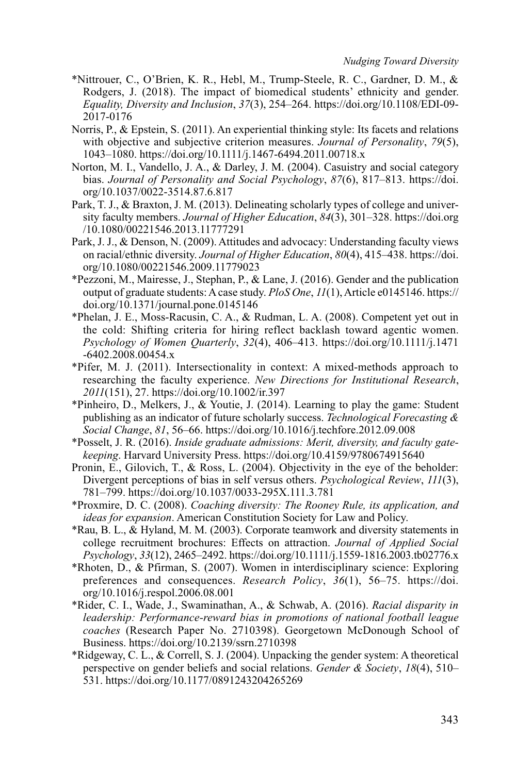- \*Nittrouer, C., O'Brien, K. R., Hebl, M., Trump-Steele, R. C., Gardner, D. M., & Rodgers, J. (2018). The impact of biomedical students' ethnicity and gender. *Equality, Diversity and Inclusion*, *37*(3), 254–264. [https://doi.org/10.1108/EDI-09-](https://doi.org/10.1108/EDI-09-2017-0176) [2017-0176](https://doi.org/10.1108/EDI-09-2017-0176)
- Norris, P., & Epstein, S. (2011). An experiential thinking style: Its facets and relations with objective and subjective criterion measures. *Journal of Personality*, *79*(5), 1043–1080. <https://doi.org/10.1111/j.1467-6494.2011.00718.x>
- Norton, M. I., Vandello, J. A., & Darley, J. M. (2004). Casuistry and social category bias. *Journal of Personality and Social Psychology*, *87*(6), 817–813. [https://doi.](https://doi.org/10.1037/0022-3514.87.6.817) [org/10.1037/0022-3514.87.6.817](https://doi.org/10.1037/0022-3514.87.6.817)
- Park, T. J., & Braxton, J. M. (2013). Delineating scholarly types of college and university faculty members. *Journal of Higher Education*, *84*(3), 301–328. [https://doi.org](https://doi.org/10.1080/00221546.2013.11777291) [/10.1080/00221546.2013.11777291](https://doi.org/10.1080/00221546.2013.11777291)
- Park, J. J., & Denson, N. (2009). Attitudes and advocacy: Understanding faculty views on racial/ethnic diversity. *Journal of Higher Education*, *80*(4), 415–438. [https://doi.](https://doi.org/10.1080/00221546.2009.11779023) [org/10.1080/00221546.2009.11779023](https://doi.org/10.1080/00221546.2009.11779023)
- \*Pezzoni, M., Mairesse, J., Stephan, P., & Lane, J. (2016). Gender and the publication output of graduate students: A case study. *PloS One*, *11*(1), Article e0145146. [https://](https://doi.org/10.1371/journal.pone.0145146) [doi.org/10.1371/journal.pone.0145146](https://doi.org/10.1371/journal.pone.0145146)
- \*Phelan, J. E., Moss-Racusin, C. A., & Rudman, L. A. (2008). Competent yet out in the cold: Shifting criteria for hiring reflect backlash toward agentic women. *Psychology of Women Quarterly*, *32*(4), 406–413. [https://doi.org/10.1111/j.1471](https://doi.org/10.1111/j.1471-6402.2008.00454.x) [-6402.2008.00454.x](https://doi.org/10.1111/j.1471-6402.2008.00454.x)
- \*Pifer, M. J. (2011). Intersectionality in context: A mixed-methods approach to researching the faculty experience. *New Directions for Institutional Research*, *2011*(151), 27.<https://doi.org/10.1002/ir.397>
- \*Pinheiro, D., Melkers, J., & Youtie, J. (2014). Learning to play the game: Student publishing as an indicator of future scholarly success. *Technological Forecasting & Social Change*, *81*, 56–66.<https://doi.org/10.1016/j.techfore.2012.09.008>
- \*Posselt, J. R. (2016). *Inside graduate admissions: Merit, diversity, and faculty gatekeeping*. Harvard University Press.<https://doi.org/10.4159/9780674915640>
- Pronin, E., Gilovich, T., & Ross, L. (2004). Objectivity in the eye of the beholder: Divergent perceptions of bias in self versus others. *Psychological Review*, *111*(3), 781–799.<https://doi.org/10.1037/0033-295X.111.3.781>
- \*Proxmire, D. C. (2008). *Coaching diversity: The Rooney Rule, its application, and ideas for expansion*. American Constitution Society for Law and Policy.
- \*Rau, B. L., & Hyland, M. M. (2003). Corporate teamwork and diversity statements in college recruitment brochures: Effects on attraction. *Journal of Applied Social Psychology*, *33*(12), 2465–2492.<https://doi.org/10.1111/j.1559-1816.2003.tb02776.x>
- \*Rhoten, D., & Pfirman, S. (2007). Women in interdisciplinary science: Exploring preferences and consequences. *Research Policy*, *36*(1), 56–75. [https://doi.](https://doi.org/10.1016/j.respol.2006.08.001) [org/10.1016/j.respol.2006.08.001](https://doi.org/10.1016/j.respol.2006.08.001)
- \*Rider, C. I., Wade, J., Swaminathan, A., & Schwab, A. (2016). *Racial disparity in leadership: Performance-reward bias in promotions of national football league coaches* (Research Paper No. 2710398). Georgetown McDonough School of Business.<https://doi.org/10.2139/ssrn.2710398>
- \*Ridgeway, C. L., & Correll, S. J. (2004). Unpacking the gender system: A theoretical perspective on gender beliefs and social relations. *Gender & Society*, *18*(4), 510– 531.<https://doi.org/10.1177/0891243204265269>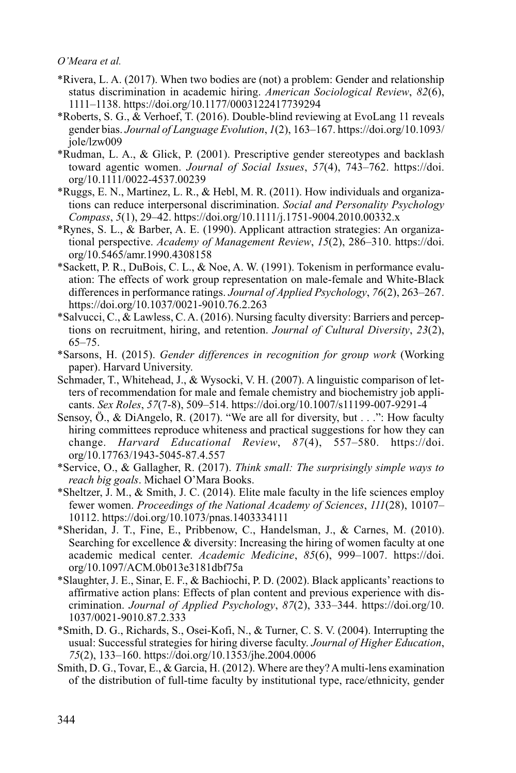- \*Rivera, L. A. (2017). When two bodies are (not) a problem: Gender and relationship status discrimination in academic hiring. *American Sociological Review*, *82*(6), 1111–1138.<https://doi.org/10.1177/0003122417739294>
- \*Roberts, S. G., & Verhoef, T. (2016). Double-blind reviewing at EvoLang 11 reveals gender bias. *Journal of Language Evolution*, *1*(2), 163–167. [https://doi.org/10.1093/](https://doi.org/10.1093/jole/lzw009) [jole/lzw009](https://doi.org/10.1093/jole/lzw009)
- \*Rudman, L. A., & Glick, P. (2001). Prescriptive gender stereotypes and backlash toward agentic women. *Journal of Social Issues*, *57*(4), 743–762. [https://doi.](https://doi.org/10.1111/0022-4537.00239) [org/10.1111/0022-4537.00239](https://doi.org/10.1111/0022-4537.00239)
- \*Ruggs, E. N., Martinez, L. R., & Hebl, M. R. (2011). How individuals and organizations can reduce interpersonal discrimination. *Social and Personality Psychology Compass*, *5*(1), 29–42. <https://doi.org/10.1111/j.1751-9004.2010.00332.x>
- \*Rynes, S. L., & Barber, A. E. (1990). Applicant attraction strategies: An organizational perspective. *Academy of Management Review*, *15*(2), 286–310. [https://doi.](https://doi.org/10.5465/amr.1990.4308158) [org/10.5465/amr.1990.4308158](https://doi.org/10.5465/amr.1990.4308158)
- \*Sackett, P. R., DuBois, C. L., & Noe, A. W. (1991). Tokenism in performance evaluation: The effects of work group representation on male-female and White-Black differences in performance ratings. *Journal of Applied Psychology*, *76*(2), 263–267. <https://doi.org/10.1037/0021-9010.76.2.263>
- \*Salvucci, C., & Lawless, C. A. (2016). Nursing faculty diversity: Barriers and perceptions on recruitment, hiring, and retention. *Journal of Cultural Diversity*, *23*(2), 65–75.
- \*Sarsons, H. (2015). *Gender differences in recognition for group work* (Working paper). Harvard University.
- Schmader, T., Whitehead, J., & Wysocki, V. H. (2007). A linguistic comparison of letters of recommendation for male and female chemistry and biochemistry job applicants. *Sex Roles*, *57*(7-8), 509–514. <https://doi.org/10.1007/s11199-007-9291-4>
- Sensoy, Ö., & DiAngelo, R. (2017). "We are all for diversity, but . . .": How faculty hiring committees reproduce whiteness and practical suggestions for how they can change. *Harvard Educational Review*, *87*(4), 557–580. [https://doi.](https://doi.org/10.17763/1943-5045-87.4.557) [org/10.17763/1943-5045-87.4.557](https://doi.org/10.17763/1943-5045-87.4.557)
- \*Service, O., & Gallagher, R. (2017). *Think small: The surprisingly simple ways to reach big goals*. Michael O'Mara Books.
- \*Sheltzer, J. M., & Smith, J. C. (2014). Elite male faculty in the life sciences employ fewer women. *Proceedings of the National Academy of Sciences*, *111*(28), 10107– 10112. <https://doi.org/10.1073/pnas.1403334111>
- \*Sheridan, J. T., Fine, E., Pribbenow, C., Handelsman, J., & Carnes, M. (2010). Searching for excellence & diversity: Increasing the hiring of women faculty at one academic medical center. *Academic Medicine*, *85*(6), 999–1007. [https://doi.](https://doi.org/10.1097/ACM.0b013e3181dbf75a) [org/10.1097/ACM.0b013e3181dbf75a](https://doi.org/10.1097/ACM.0b013e3181dbf75a)
- \*Slaughter, J. E., Sinar, E. F., & Bachiochi, P. D. (2002). Black applicants' reactions to affirmative action plans: Effects of plan content and previous experience with discrimination. *Journal of Applied Psychology*, *87*(2), 333–344. [https://doi.org/10.](https://doi.org/10.1037/0021-9010.87.2.333) [1037/0021-9010.87.2.333](https://doi.org/10.1037/0021-9010.87.2.333)
- \*Smith, D. G., Richards, S., Osei-Kofi, N., & Turner, C. S. V. (2004). Interrupting the usual: Successful strategies for hiring diverse faculty. *Journal of Higher Education*, *75*(2), 133–160. <https://doi.org/10.1353/jhe.2004.0006>
- Smith, D. G., Tovar, E., & Garcia, H. (2012). Where are they? A multi-lens examination of the distribution of full-time faculty by institutional type, race/ethnicity, gender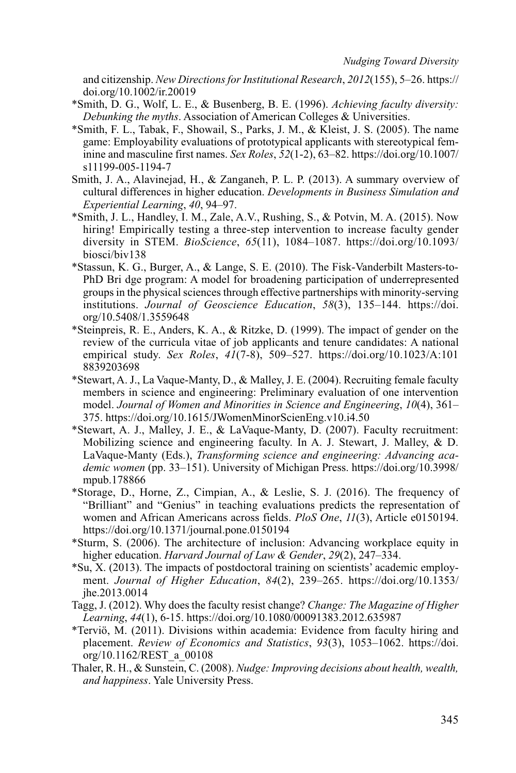and citizenship. *New Directions for Institutional Research*, *2012*(155), 5–26. [https://](https://doi.org/10.1002/ir.20019) [doi.org/10.1002/ir.20019](https://doi.org/10.1002/ir.20019)

- \*Smith, D. G., Wolf, L. E., & Busenberg, B. E. (1996). *Achieving faculty diversity: Debunking the myths*. Association of American Colleges & Universities.
- \*Smith, F. L., Tabak, F., Showail, S., Parks, J. M., & Kleist, J. S. (2005). The name game: Employability evaluations of prototypical applicants with stereotypical feminine and masculine first names. *Sex Roles*, *52*(1-2), 63–82. [https://doi.org/10.1007/](https://doi.org/10.1007/s11199-005-1194-7) [s11199-005-1194-7](https://doi.org/10.1007/s11199-005-1194-7)
- Smith, J. A., Alavinejad, H., & Zanganeh, P. L. P. (2013). A summary overview of cultural differences in higher education. *Developments in Business Simulation and Experiential Learning*, *40*, 94–97.
- \*Smith, J. L., Handley, I. M., Zale, A.V., Rushing, S., & Potvin, M. A. (2015). Now hiring! Empirically testing a three-step intervention to increase faculty gender diversity in STEM. *BioScience*, *65*(11), 1084–1087. [https://doi.org/10.1093/](https://doi.org/10.1093/biosci/biv138) [biosci/biv138](https://doi.org/10.1093/biosci/biv138)
- \*Stassun, K. G., Burger, A., & Lange, S. E. (2010). The Fisk-Vanderbilt Masters-to-PhD Bri dge program: A model for broadening participation of underrepresented groups in the physical sciences through effective partnerships with minority-serving institutions. *Journal of Geoscience Education*, *58*(3), 135–144. [https://doi.](https://doi.org/10.5408/1.3559648) [org/10.5408/1.3559648](https://doi.org/10.5408/1.3559648)
- \*Steinpreis, R. E., Anders, K. A., & Ritzke, D. (1999). The impact of gender on the review of the curricula vitae of job applicants and tenure candidates: A national empirical study. *Sex Roles*, *41*(7-8), 509–527. [https://doi.org/10.1023/A:101](https://doi.org/10.1023/A:1018839203698) [8839203698](https://doi.org/10.1023/A:1018839203698)
- \*Stewart, A. J., La Vaque-Manty, D., & Malley, J. E. (2004). Recruiting female faculty members in science and engineering: Preliminary evaluation of one intervention model. *Journal of Women and Minorities in Science and Engineering*, *10*(4), 361– 375.<https://doi.org/10.1615/JWomenMinorScienEng.v10.i4.50>
- \*Stewart, A. J., Malley, J. E., & LaVaque-Manty, D. (2007). Faculty recruitment: Mobilizing science and engineering faculty. In A. J. Stewart, J. Malley, & D. LaVaque-Manty (Eds.), *Transforming science and engineering: Advancing academic women* (pp. 33–151). University of Michigan Press. [https://doi.org/10.3998/](https://doi.org/10.3998/mpub.178866) [mpub.178866](https://doi.org/10.3998/mpub.178866)
- \*Storage, D., Horne, Z., Cimpian, A., & Leslie, S. J. (2016). The frequency of "Brilliant" and "Genius" in teaching evaluations predicts the representation of women and African Americans across fields. *PloS One*, *11*(3), Article e0150194. <https://doi.org/10.1371/journal.pone.0150194>
- \*Sturm, S. (2006). The architecture of inclusion: Advancing workplace equity in higher education. *Harvard Journal of Law & Gender*, *29*(2), 247–334.
- \*Su, X. (2013). The impacts of postdoctoral training on scientists' academic employment. *Journal of Higher Education*, *84*(2), 239–265. [https://doi.org/10.1353/](https://doi.org/10.1353/jhe.2013.0014) [jhe.2013.0014](https://doi.org/10.1353/jhe.2013.0014)
- Tagg, J. (2012). Why does the faculty resist change? *Change: The Magazine of Higher Learning*, *44*(1), 6-15.<https://doi.org/10.1080/00091383.2012.635987>
- \*Terviö, M. (2011). Divisions within academia: Evidence from faculty hiring and placement. *Review of Economics and Statistics*, *93*(3), 1053–1062. [https://doi.](https://doi.org/10.1162/REST_a_00108) [org/10.1162/REST\\_a\\_00108](https://doi.org/10.1162/REST_a_00108)
- Thaler, R. H., & Sunstein, C. (2008). *Nudge: Improving decisions about health, wealth, and happiness*. Yale University Press.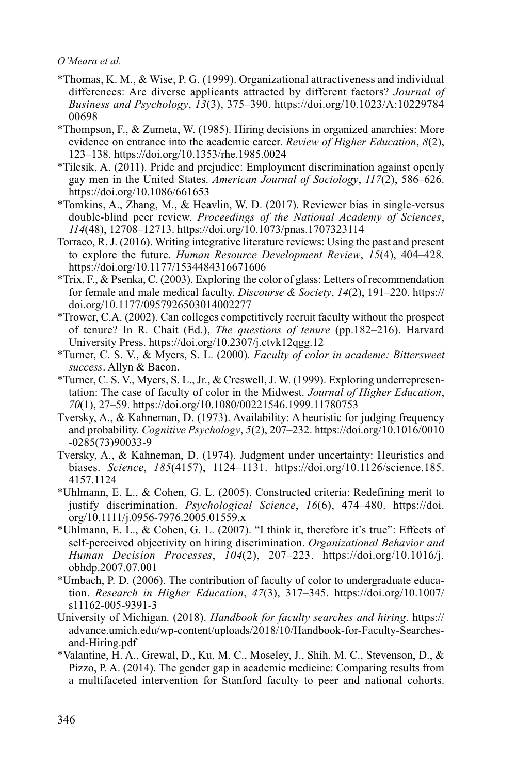- \*Thomas, K. M., & Wise, P. G. (1999). Organizational attractiveness and individual differences: Are diverse applicants attracted by different factors? *Journal of Business and Psychology*, *13*(3), 375–390. [https://doi.org/10.1023/A:10229784](https://doi.org/10.1023/A:1022978400698) [00698](https://doi.org/10.1023/A:1022978400698)
- \*Thompson, F., & Zumeta, W. (1985). Hiring decisions in organized anarchies: More evidence on entrance into the academic career. *Review of Higher Education*, *8*(2), 123–138.<https://doi.org/10.1353/rhe.1985.0024>
- \*Tilcsik, A. (2011). Pride and prejudice: Employment discrimination against openly gay men in the United States. *American Journal of Sociology*, *117*(2), 586–626. <https://doi.org/10.1086/661653>
- \*Tomkins, A., Zhang, M., & Heavlin, W. D. (2017). Reviewer bias in single-versus double-blind peer review. *Proceedings of the National Academy of Sciences*, *114*(48), 12708–12713.<https://doi.org/10.1073/pnas.1707323114>
- Torraco, R. J. (2016). Writing integrative literature reviews: Using the past and present to explore the future. *Human Resource Development Review*, *15*(4), 404–428. <https://doi.org/10.1177/1534484316671606>
- \*Trix, F., & Psenka, C. (2003). Exploring the color of glass: Letters of recommendation for female and male medical faculty. *Discourse & Society*, *14*(2), 191–220. [https://](https://doi.org/10.1177/0957926503014002277) [doi.org/10.1177/0957926503014002277](https://doi.org/10.1177/0957926503014002277)
- \*Trower, C.A. (2002). Can colleges competitively recruit faculty without the prospect of tenure? In R. Chait (Ed.), *The questions of tenure* (pp.182–216). Harvard University Press. <https://doi.org/10.2307/j.ctvk12qgg.12>
- \*Turner, C. S. V., & Myers, S. L. (2000). *Faculty of color in academe: Bittersweet success*. Allyn & Bacon.
- \*Turner, C. S. V., Myers, S. L., Jr., & Creswell, J. W. (1999). Exploring underrepresentation: The case of faculty of color in the Midwest. *Journal of Higher Education*, *70*(1), 27–59.<https://doi.org/10.1080/00221546.1999.11780753>
- Tversky, A., & Kahneman, D. (1973). Availability: A heuristic for judging frequency and probability. *Cognitive Psychology*, *5*(2), 207–232. [https://doi.org/10.1016/0010](https://doi.org/10.1016/0010-0285(73)90033-9) [-0285\(73\)90033-9](https://doi.org/10.1016/0010-0285(73)90033-9)
- Tversky, A., & Kahneman, D. (1974). Judgment under uncertainty: Heuristics and biases. *Science*, *185*(4157), 1124–1131. [https://doi.org/10.1126/science.185.](https://doi.org/10.1126/science.185.4157.1124) [4157.1124](https://doi.org/10.1126/science.185.4157.1124)
- \*Uhlmann, E. L., & Cohen, G. L. (2005). Constructed criteria: Redefining merit to justify discrimination. *Psychological Science*, *16*(6), 474–480. [https://doi.](https://doi.org/10.1111/j.0956-7976.2005.01559.x) [org/10.1111/j.0956-7976.2005.01559.x](https://doi.org/10.1111/j.0956-7976.2005.01559.x)
- \*Uhlmann, E. L., & Cohen, G. L. (2007). "I think it, therefore it's true": Effects of self-perceived objectivity on hiring discrimination. *Organizational Behavior and Human Decision Processes*, *104*(2), 207–223. [https://doi.org/10.1016/j.](https://doi.org/10.1016/j.obhdp.2007.07.001) [obhdp.2007.07.001](https://doi.org/10.1016/j.obhdp.2007.07.001)
- \*Umbach, P. D. (2006). The contribution of faculty of color to undergraduate education. *Research in Higher Education*, *47*(3), 317–345. [https://doi.org/10.1007/](https://doi.org/10.1007/s11162-005-9391-3) [s11162-005-9391-3](https://doi.org/10.1007/s11162-005-9391-3)
- University of Michigan. (2018). *Handbook for faculty searches and hiring*. [https://](https://advance.umich.edu/wp-content/uploads/2018/10/Handbook-for-Faculty-Searches-and-Hiring.pdf) [advance.umich.edu/wp-content/uploads/2018/10/Handbook-for-Faculty-Searches](https://advance.umich.edu/wp-content/uploads/2018/10/Handbook-for-Faculty-Searches-and-Hiring.pdf)[and-Hiring.pdf](https://advance.umich.edu/wp-content/uploads/2018/10/Handbook-for-Faculty-Searches-and-Hiring.pdf)
- \*Valantine, H. A., Grewal, D., Ku, M. C., Moseley, J., Shih, M. C., Stevenson, D., & Pizzo, P. A. (2014). The gender gap in academic medicine: Comparing results from a multifaceted intervention for Stanford faculty to peer and national cohorts.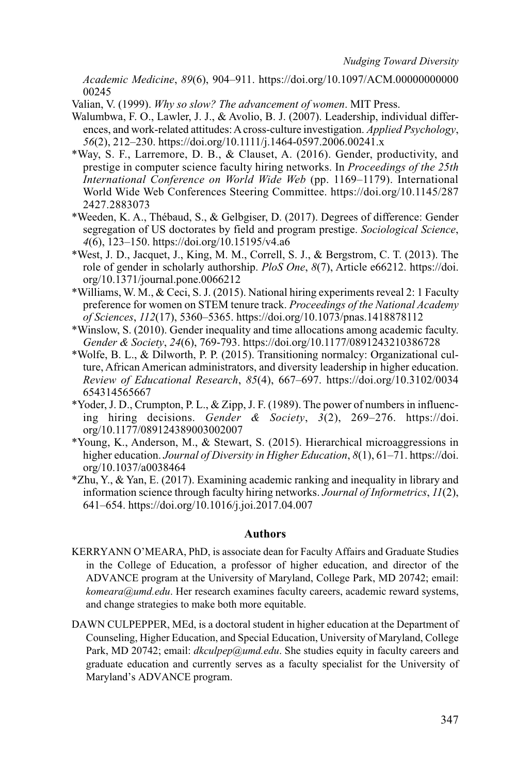*Academic Medicine*, *89*(6), 904–911. [https://doi.org/10.1097/ACM.00000000000](https://doi.org/10.1097/ACM.0000000000000245) [00245](https://doi.org/10.1097/ACM.0000000000000245)

Valian, V. (1999). *Why so slow? The advancement of women*. MIT Press.

- Walumbwa, F. O., Lawler, J. J., & Avolio, B. J. (2007). Leadership, individual differences, and work-related attitudes: A cross-culture investigation. *Applied Psychology*, *56*(2), 212–230. <https://doi.org/10.1111/j.1464-0597.2006.00241.x>
- \*Way, S. F., Larremore, D. B., & Clauset, A. (2016). Gender, productivity, and prestige in computer science faculty hiring networks. In *Proceedings of the 25th International Conference on World Wide Web* (pp. 1169–1179). International World Wide Web Conferences Steering Committee. [https://doi.org/10.1145/287](https://doi.org/10.1145/2872427.2883073) [2427.2883073](https://doi.org/10.1145/2872427.2883073)
- \*Weeden, K. A., Thébaud, S., & Gelbgiser, D. (2017). Degrees of difference: Gender segregation of US doctorates by field and program prestige. *Sociological Science*, *4*(6), 123–150. <https://doi.org/10.15195/v4.a6>
- \*West, J. D., Jacquet, J., King, M. M., Correll, S. J., & Bergstrom, C. T. (2013). The role of gender in scholarly authorship. *PloS One*, *8*(7), Article e66212. [https://doi.](https://doi.org/10.1371/journal.pone.0066212) [org/10.1371/journal.pone.0066212](https://doi.org/10.1371/journal.pone.0066212)
- \*Williams, W. M., & Ceci, S. J. (2015). National hiring experiments reveal 2: 1 Faculty preference for women on STEM tenure track. *Proceedings of the National Academy of Sciences*, *112*(17), 5360–5365. <https://doi.org/10.1073/pnas.1418878112>
- \*Winslow, S. (2010). Gender inequality and time allocations among academic faculty. *Gender & Society*, *24*(6), 769-793.<https://doi.org/10.1177/0891243210386728>
- \*Wolfe, B. L., & Dilworth, P. P. (2015). Transitioning normalcy: Organizational culture, African American administrators, and diversity leadership in higher education. *Review of Educational Research*, *85*(4), 667–697. [https://doi.org/10.3102/0034](https://doi.org/10.3102/0034654314565667) [654314565667](https://doi.org/10.3102/0034654314565667)
- \*Yoder, J. D., Crumpton, P. L., & Zipp, J. F. (1989). The power of numbers in influencing hiring decisions. *Gender & Society*, *3*(2), 269–276. [https://doi.](https://doi.org/10.1177/089124389003002007) [org/10.1177/089124389003002007](https://doi.org/10.1177/089124389003002007)
- \*Young, K., Anderson, M., & Stewart, S. (2015). Hierarchical microaggressions in higher education. *Journal of Diversity in Higher Education*, *8*(1), 61–71. [https://doi.](https://doi.org/10.1037/a0038464) [org/10.1037/a0038464](https://doi.org/10.1037/a0038464)
- \*Zhu, Y., & Yan, E. (2017). Examining academic ranking and inequality in library and information science through faculty hiring networks. *Journal of Informetrics*, *11*(2), 641–654.<https://doi.org/10.1016/j.joi.2017.04.007>

# **Authors**

- KERRYANN O'MEARA, PhD, is associate dean for Faculty Affairs and Graduate Studies in the College of Education, a professor of higher education, and director of the ADVANCE program at the University of Maryland, College Park, MD 20742; email: *[komeara@umd.edu](mailto:komeara@umd.edu)*. Her research examines faculty careers, academic reward systems, and change strategies to make both more equitable.
- DAWN CULPEPPER, MEd, is a doctoral student in higher education at the Department of Counseling, Higher Education, and Special Education, University of Maryland, College Park, MD 20742; email: *[dkculpep@umd.edu](mailto:dkculpep@umd.edu)*. She studies equity in faculty careers and graduate education and currently serves as a faculty specialist for the University of Maryland's ADVANCE program.